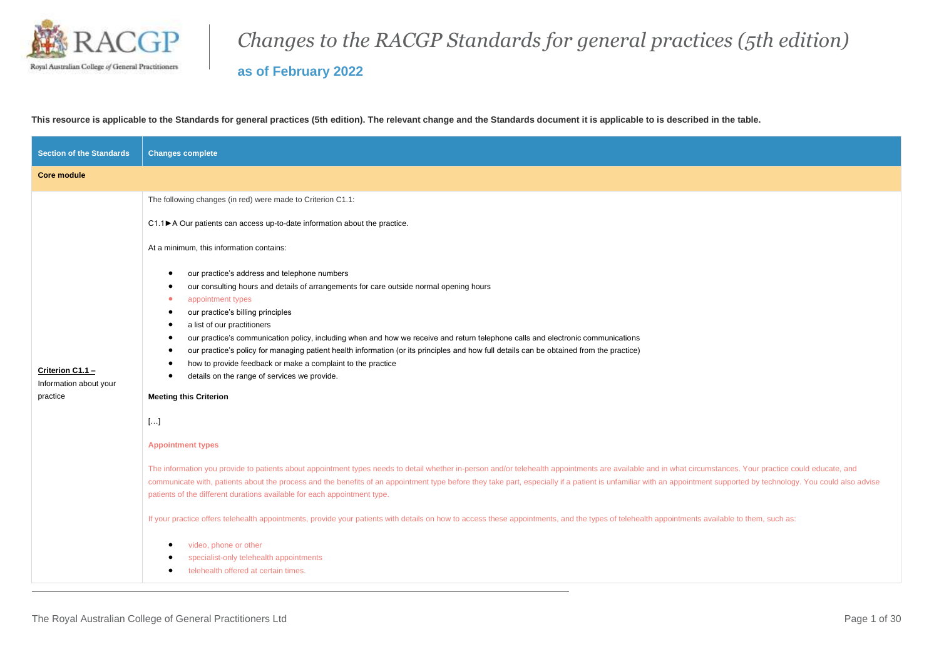

## *Changes to the RACGP Standards for general practices (5th edition)*

**as of February 2022**

**This resource is applicable to the Standards for general practices (5th edition). The relevant change and the Standards document it is applicable to is described in the table.**

| <b>Section of the Standards</b>                        | <b>Changes complete</b>                                                                                                                                                                                                                                                                                                                                                                                                                                                                                                                                                                                                                                                                                                                                                                                                                                                                                                                                                                                                                                                                                                                                                                                                                                                                                                                                                                                                                                                                                                                          |
|--------------------------------------------------------|--------------------------------------------------------------------------------------------------------------------------------------------------------------------------------------------------------------------------------------------------------------------------------------------------------------------------------------------------------------------------------------------------------------------------------------------------------------------------------------------------------------------------------------------------------------------------------------------------------------------------------------------------------------------------------------------------------------------------------------------------------------------------------------------------------------------------------------------------------------------------------------------------------------------------------------------------------------------------------------------------------------------------------------------------------------------------------------------------------------------------------------------------------------------------------------------------------------------------------------------------------------------------------------------------------------------------------------------------------------------------------------------------------------------------------------------------------------------------------------------------------------------------------------------------|
| <b>Core module</b>                                     |                                                                                                                                                                                                                                                                                                                                                                                                                                                                                                                                                                                                                                                                                                                                                                                                                                                                                                                                                                                                                                                                                                                                                                                                                                                                                                                                                                                                                                                                                                                                                  |
|                                                        | The following changes (in red) were made to Criterion C1.1:                                                                                                                                                                                                                                                                                                                                                                                                                                                                                                                                                                                                                                                                                                                                                                                                                                                                                                                                                                                                                                                                                                                                                                                                                                                                                                                                                                                                                                                                                      |
|                                                        | C1.1▶ A Our patients can access up-to-date information about the practice.                                                                                                                                                                                                                                                                                                                                                                                                                                                                                                                                                                                                                                                                                                                                                                                                                                                                                                                                                                                                                                                                                                                                                                                                                                                                                                                                                                                                                                                                       |
|                                                        | At a minimum, this information contains:                                                                                                                                                                                                                                                                                                                                                                                                                                                                                                                                                                                                                                                                                                                                                                                                                                                                                                                                                                                                                                                                                                                                                                                                                                                                                                                                                                                                                                                                                                         |
| Criterion C1.1 -<br>Information about your<br>practice | our practice's address and telephone numbers<br>our consulting hours and details of arrangements for care outside normal opening hours<br>appointment types<br>٠<br>our practice's billing principles<br>a list of our practitioners<br>٠<br>our practice's communication policy, including when and how we receive and return telephone calls and electronic communications<br>٠<br>our practice's policy for managing patient health information (or its principles and how full details can be obtained from the practice)<br>how to provide feedback or make a complaint to the practice<br>details on the range of services we provide.<br><b>Meeting this Criterion</b><br>$[]$<br><b>Appointment types</b><br>The information you provide to patients about appointment types needs to detail whether in-person and/or telehealth appointments are available and in what circumstances. Your practice could educate, and<br>communicate with, patients about the process and the benefits of an appointment type before they take part, especially if a patient is unfamiliar with an appointment supported by technology. You could also advise<br>patients of the different durations available for each appointment type.<br>If your practice offers telehealth appointments, provide your patients with details on how to access these appointments, and the types of telehealth appointments available to them, such as:<br>video, phone or other<br>specialist-only telehealth appointments<br>telehealth offered at certain times. |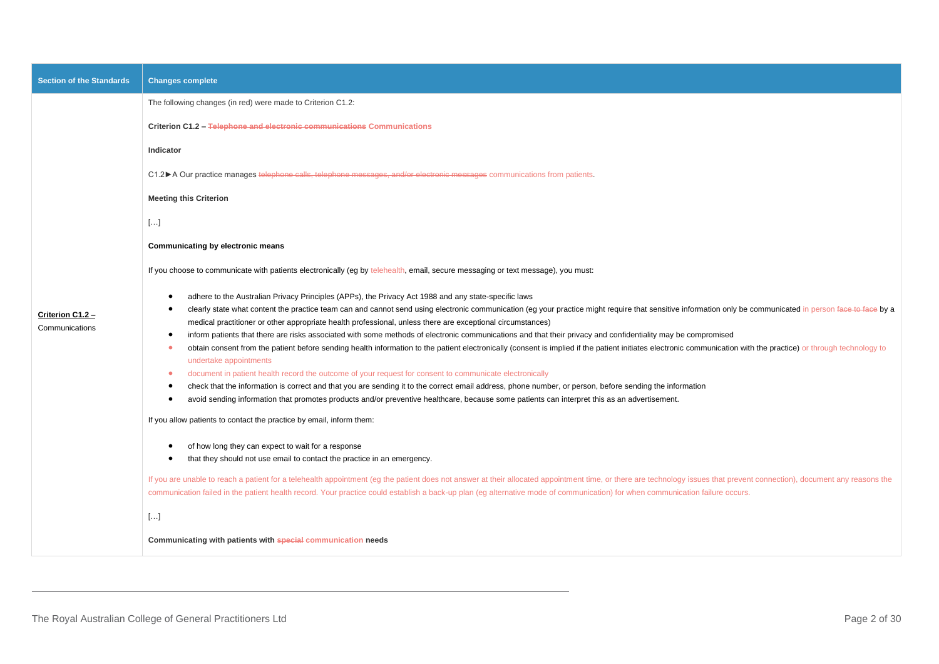| <b>Section of the Standards</b>    | <b>Changes complete</b>                                                                                                                                                                                                                                                                                                                                                                                                                                                                                                                                                                                                                                                                                                                                                                                                                                                                                                                                                                                                                                                                                                                                                                                                                                                                                                                                     |
|------------------------------------|-------------------------------------------------------------------------------------------------------------------------------------------------------------------------------------------------------------------------------------------------------------------------------------------------------------------------------------------------------------------------------------------------------------------------------------------------------------------------------------------------------------------------------------------------------------------------------------------------------------------------------------------------------------------------------------------------------------------------------------------------------------------------------------------------------------------------------------------------------------------------------------------------------------------------------------------------------------------------------------------------------------------------------------------------------------------------------------------------------------------------------------------------------------------------------------------------------------------------------------------------------------------------------------------------------------------------------------------------------------|
|                                    | The following changes (in red) were made to Criterion C1.2:                                                                                                                                                                                                                                                                                                                                                                                                                                                                                                                                                                                                                                                                                                                                                                                                                                                                                                                                                                                                                                                                                                                                                                                                                                                                                                 |
|                                    | Criterion C1.2 - Telephone and electronic communications Communications                                                                                                                                                                                                                                                                                                                                                                                                                                                                                                                                                                                                                                                                                                                                                                                                                                                                                                                                                                                                                                                                                                                                                                                                                                                                                     |
|                                    | Indicator                                                                                                                                                                                                                                                                                                                                                                                                                                                                                                                                                                                                                                                                                                                                                                                                                                                                                                                                                                                                                                                                                                                                                                                                                                                                                                                                                   |
|                                    | C1.2►A Our practice manages telephone calls, telephone messages, and/or electronic messages communications from patients.                                                                                                                                                                                                                                                                                                                                                                                                                                                                                                                                                                                                                                                                                                                                                                                                                                                                                                                                                                                                                                                                                                                                                                                                                                   |
|                                    | <b>Meeting this Criterion</b>                                                                                                                                                                                                                                                                                                                                                                                                                                                                                                                                                                                                                                                                                                                                                                                                                                                                                                                                                                                                                                                                                                                                                                                                                                                                                                                               |
|                                    | $[]$                                                                                                                                                                                                                                                                                                                                                                                                                                                                                                                                                                                                                                                                                                                                                                                                                                                                                                                                                                                                                                                                                                                                                                                                                                                                                                                                                        |
|                                    | Communicating by electronic means                                                                                                                                                                                                                                                                                                                                                                                                                                                                                                                                                                                                                                                                                                                                                                                                                                                                                                                                                                                                                                                                                                                                                                                                                                                                                                                           |
|                                    | If you choose to communicate with patients electronically (eg by telehealth, email, secure messaging or text message), you must:                                                                                                                                                                                                                                                                                                                                                                                                                                                                                                                                                                                                                                                                                                                                                                                                                                                                                                                                                                                                                                                                                                                                                                                                                            |
| Criterion C1.2 -<br>Communications | adhere to the Australian Privacy Principles (APPs), the Privacy Act 1988 and any state-specific laws<br>clearly state what content the practice team can and cannot send using electronic communication (eg your practice might require that sensitive information only be communicated in person face to face by a<br>medical practitioner or other appropriate health professional, unless there are exceptional circumstances)<br>inform patients that there are risks associated with some methods of electronic communications and that their privacy and confidentiality may be compromised<br>obtain consent from the patient before sending health information to the patient electronically (consent is implied if the patient initiates electronic communication with the practice) or through technology to<br>undertake appointments<br>document in patient health record the outcome of your request for consent to communicate electronically<br>check that the information is correct and that you are sending it to the correct email address, phone number, or person, before sending the information<br>avoid sending information that promotes products and/or preventive healthcare, because some patients can interpret this as an advertisement.<br>$\bullet$<br>If you allow patients to contact the practice by email, inform them: |
|                                    | of how long they can expect to wait for a response<br>that they should not use email to contact the practice in an emergency.<br>$\bullet$                                                                                                                                                                                                                                                                                                                                                                                                                                                                                                                                                                                                                                                                                                                                                                                                                                                                                                                                                                                                                                                                                                                                                                                                                  |
|                                    | If you are unable to reach a patient for a telehealth appointment (eg the patient does not answer at their allocated appointment time, or there are technology issues that prevent connection), document any reasons the<br>communication failed in the patient health record. Your practice could establish a back-up plan (eg alternative mode of communication) for when communication failure occurs.                                                                                                                                                                                                                                                                                                                                                                                                                                                                                                                                                                                                                                                                                                                                                                                                                                                                                                                                                   |
|                                    | $[]$                                                                                                                                                                                                                                                                                                                                                                                                                                                                                                                                                                                                                                                                                                                                                                                                                                                                                                                                                                                                                                                                                                                                                                                                                                                                                                                                                        |
|                                    | Communicating with patients with special communication needs                                                                                                                                                                                                                                                                                                                                                                                                                                                                                                                                                                                                                                                                                                                                                                                                                                                                                                                                                                                                                                                                                                                                                                                                                                                                                                |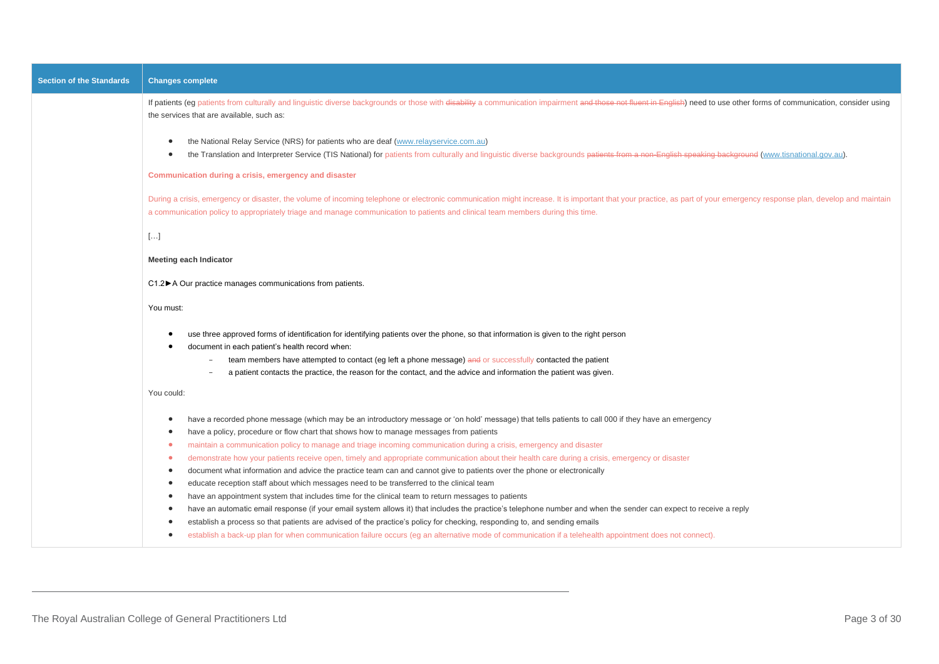| <b>Section of the Standards</b> | <b>Changes complete</b>                                                                                                                                                                                                                                                                                                                                   |
|---------------------------------|-----------------------------------------------------------------------------------------------------------------------------------------------------------------------------------------------------------------------------------------------------------------------------------------------------------------------------------------------------------|
|                                 | If patients (eg patients from culturally and linguistic diverse backgrounds or those with disability a communication impairment and those not fluent in English) need to use other forms of communication, consider using<br>the services that are available, such as:                                                                                    |
|                                 | the National Relay Service (NRS) for patients who are deaf (www.relayservice.com.au)<br>the Translation and Interpreter Service (TIS National) for patients from culturally and linguistic diverse backgrounds patients from a non-English speaking background (www.tisnational.gov.au).                                                                  |
|                                 | Communication during a crisis, emergency and disaster                                                                                                                                                                                                                                                                                                     |
|                                 | During a crisis, emergency or disaster, the volume of incoming telephone or electronic communication might increase. It is important that your practice, as part of your emergency response plan, develop and maintain<br>a communication policy to appropriately triage and manage communication to patients and clinical team members during this time. |
|                                 | $[\ldots]$                                                                                                                                                                                                                                                                                                                                                |
|                                 | <b>Meeting each Indicator</b>                                                                                                                                                                                                                                                                                                                             |
|                                 | C1.2▶ A Our practice manages communications from patients.                                                                                                                                                                                                                                                                                                |
|                                 | You must:                                                                                                                                                                                                                                                                                                                                                 |
|                                 | use three approved forms of identification for identifying patients over the phone, so that information is given to the right person                                                                                                                                                                                                                      |
|                                 | document in each patient's health record when:<br>team members have attempted to contact (eg left a phone message) and or successfully contacted the patient                                                                                                                                                                                              |
|                                 | a patient contacts the practice, the reason for the contact, and the advice and information the patient was given.                                                                                                                                                                                                                                        |
|                                 | You could:                                                                                                                                                                                                                                                                                                                                                |
|                                 | have a recorded phone message (which may be an introductory message or 'on hold' message) that tells patients to call 000 if they have an emergency<br>have a policy, procedure or flow chart that shows how to manage messages from patients                                                                                                             |
|                                 | maintain a communication policy to manage and triage incoming communication during a crisis, emergency and disaster<br>۰                                                                                                                                                                                                                                  |
|                                 | demonstrate how your patients receive open, timely and appropriate communication about their health care during a crisis, emergency or disaster<br>۰                                                                                                                                                                                                      |
|                                 | document what information and advice the practice team can and cannot give to patients over the phone or electronically<br>$\bullet$                                                                                                                                                                                                                      |
|                                 | educate reception staff about which messages need to be transferred to the clinical team<br>$\bullet$<br>have an appointment system that includes time for the clinical team to return messages to patients<br>٠                                                                                                                                          |
|                                 | have an automatic email response (if your email system allows it) that includes the practice's telephone number and when the sender can expect to receive a reply                                                                                                                                                                                         |
|                                 | establish a process so that patients are advised of the practice's policy for checking, responding to, and sending emails                                                                                                                                                                                                                                 |
|                                 | establish a back-up plan for when communication failure occurs (eg an alternative mode of communication if a telehealth appointment does not connect).<br>٠                                                                                                                                                                                               |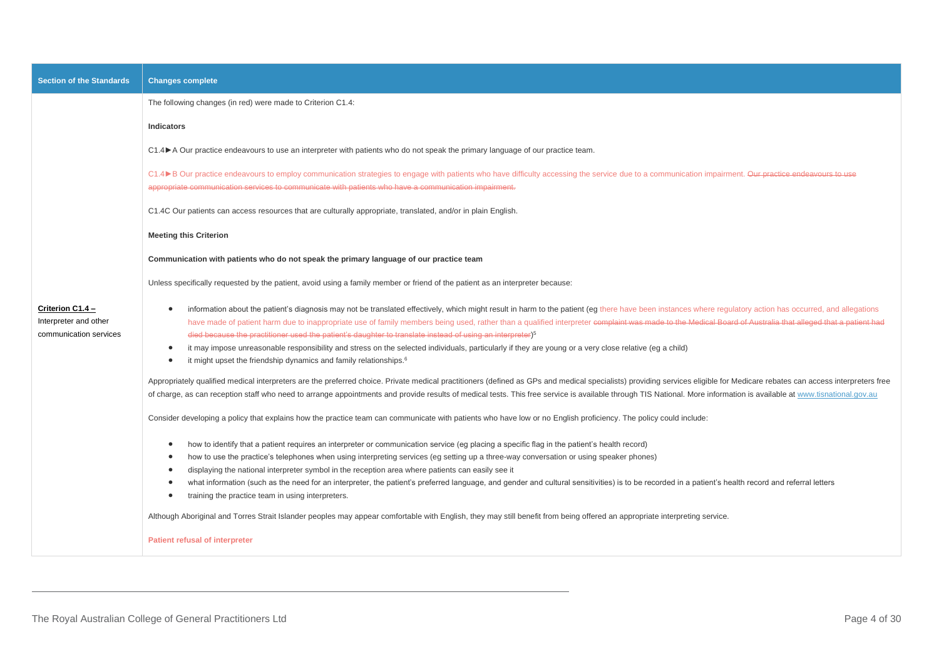| <b>Section of the Standards</b>                                     | <b>Changes complete</b>                                                                                                                                                                                                                                                                                                                                                                                                                                                                                                                                                                                                                                                                                                                                                                                                                                                                                                                                                                                                                                                                                                                                                                                                                                                                                                                                                                                                                                                                                                                                                                                                                                                                                                                                                                                                                                                                                                                                                                                                                                                                                                                                                                                                                                                                               |
|---------------------------------------------------------------------|-------------------------------------------------------------------------------------------------------------------------------------------------------------------------------------------------------------------------------------------------------------------------------------------------------------------------------------------------------------------------------------------------------------------------------------------------------------------------------------------------------------------------------------------------------------------------------------------------------------------------------------------------------------------------------------------------------------------------------------------------------------------------------------------------------------------------------------------------------------------------------------------------------------------------------------------------------------------------------------------------------------------------------------------------------------------------------------------------------------------------------------------------------------------------------------------------------------------------------------------------------------------------------------------------------------------------------------------------------------------------------------------------------------------------------------------------------------------------------------------------------------------------------------------------------------------------------------------------------------------------------------------------------------------------------------------------------------------------------------------------------------------------------------------------------------------------------------------------------------------------------------------------------------------------------------------------------------------------------------------------------------------------------------------------------------------------------------------------------------------------------------------------------------------------------------------------------------------------------------------------------------------------------------------------------|
|                                                                     | The following changes (in red) were made to Criterion C1.4:                                                                                                                                                                                                                                                                                                                                                                                                                                                                                                                                                                                                                                                                                                                                                                                                                                                                                                                                                                                                                                                                                                                                                                                                                                                                                                                                                                                                                                                                                                                                                                                                                                                                                                                                                                                                                                                                                                                                                                                                                                                                                                                                                                                                                                           |
|                                                                     | Indicators                                                                                                                                                                                                                                                                                                                                                                                                                                                                                                                                                                                                                                                                                                                                                                                                                                                                                                                                                                                                                                                                                                                                                                                                                                                                                                                                                                                                                                                                                                                                                                                                                                                                                                                                                                                                                                                                                                                                                                                                                                                                                                                                                                                                                                                                                            |
|                                                                     | C1.4▶ A Our practice endeavours to use an interpreter with patients who do not speak the primary language of our practice team.                                                                                                                                                                                                                                                                                                                                                                                                                                                                                                                                                                                                                                                                                                                                                                                                                                                                                                                                                                                                                                                                                                                                                                                                                                                                                                                                                                                                                                                                                                                                                                                                                                                                                                                                                                                                                                                                                                                                                                                                                                                                                                                                                                       |
|                                                                     | C1.4▶B Our practice endeavours to employ communication strategies to engage with patients who have difficulty accessing the service due to a communication impairment. Our practice endeavours to use<br>appropriate communication services to communicate with patients who have a communication impairment.                                                                                                                                                                                                                                                                                                                                                                                                                                                                                                                                                                                                                                                                                                                                                                                                                                                                                                                                                                                                                                                                                                                                                                                                                                                                                                                                                                                                                                                                                                                                                                                                                                                                                                                                                                                                                                                                                                                                                                                         |
|                                                                     | C1.4C Our patients can access resources that are culturally appropriate, translated, and/or in plain English.                                                                                                                                                                                                                                                                                                                                                                                                                                                                                                                                                                                                                                                                                                                                                                                                                                                                                                                                                                                                                                                                                                                                                                                                                                                                                                                                                                                                                                                                                                                                                                                                                                                                                                                                                                                                                                                                                                                                                                                                                                                                                                                                                                                         |
|                                                                     | <b>Meeting this Criterion</b>                                                                                                                                                                                                                                                                                                                                                                                                                                                                                                                                                                                                                                                                                                                                                                                                                                                                                                                                                                                                                                                                                                                                                                                                                                                                                                                                                                                                                                                                                                                                                                                                                                                                                                                                                                                                                                                                                                                                                                                                                                                                                                                                                                                                                                                                         |
|                                                                     | Communication with patients who do not speak the primary language of our practice team                                                                                                                                                                                                                                                                                                                                                                                                                                                                                                                                                                                                                                                                                                                                                                                                                                                                                                                                                                                                                                                                                                                                                                                                                                                                                                                                                                                                                                                                                                                                                                                                                                                                                                                                                                                                                                                                                                                                                                                                                                                                                                                                                                                                                |
|                                                                     | Unless specifically requested by the patient, avoid using a family member or friend of the patient as an interpreter because:                                                                                                                                                                                                                                                                                                                                                                                                                                                                                                                                                                                                                                                                                                                                                                                                                                                                                                                                                                                                                                                                                                                                                                                                                                                                                                                                                                                                                                                                                                                                                                                                                                                                                                                                                                                                                                                                                                                                                                                                                                                                                                                                                                         |
| Criterion C1.4 -<br>Interpreter and other<br>communication services | information about the patient's diagnosis may not be translated effectively, which might result in harm to the patient (eg there have been instances where regulatory action has occurred, and allegations<br>have made of patient harm due to inappropriate use of family members being used, rather than a qualified interpreter complaint was made to the Medical Board of Australia that alleged that a patient had<br>died because the practitioner used the patient's daughter to translate instead of using an interpreter) <sup>5</sup><br>it may impose unreasonable responsibility and stress on the selected individuals, particularly if they are young or a very close relative (eg a child)<br>$\bullet$<br>it might upset the friendship dynamics and family relationships. <sup>6</sup><br>$\bullet$<br>Appropriately qualified medical interpreters are the preferred choice. Private medical practitioners (defined as GPs and medical specialists) providing services eligible for Medicare rebates can access interpreters free<br>of charge, as can reception staff who need to arrange appointments and provide results of medical tests. This free service is available through TIS National. More information is available at www.tisnational.gov.au<br>Consider developing a policy that explains how the practice team can communicate with patients who have low or no English proficiency. The policy could include:<br>how to identify that a patient requires an interpreter or communication service (eg placing a specific flag in the patient's health record)<br>how to use the practice's telephones when using interpreting services (eg setting up a three-way conversation or using speaker phones)<br>displaying the national interpreter symbol in the reception area where patients can easily see it<br>what information (such as the need for an interpreter, the patient's preferred language, and gender and cultural sensitivities) is to be recorded in a patient's health record and referral letters<br>training the practice team in using interpreters.<br>$\bullet$<br>Although Aboriginal and Torres Strait Islander peoples may appear comfortable with English, they may still benefit from being offered an appropriate interpreting service. |
|                                                                     | <b>Patient refusal of interpreter</b>                                                                                                                                                                                                                                                                                                                                                                                                                                                                                                                                                                                                                                                                                                                                                                                                                                                                                                                                                                                                                                                                                                                                                                                                                                                                                                                                                                                                                                                                                                                                                                                                                                                                                                                                                                                                                                                                                                                                                                                                                                                                                                                                                                                                                                                                 |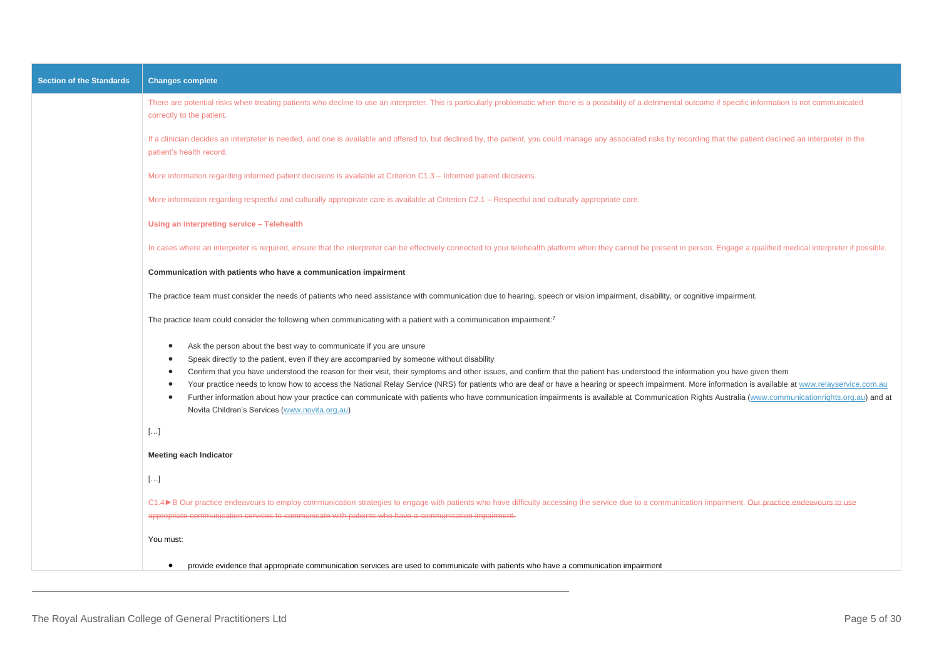| <b>Section of the Standards</b> | <b>Changes complete</b>                                                                                                                                                                                                                                                                                                                                                                                                                                                                                                                                                                                                                                                                                                                                                                                                                                   |
|---------------------------------|-----------------------------------------------------------------------------------------------------------------------------------------------------------------------------------------------------------------------------------------------------------------------------------------------------------------------------------------------------------------------------------------------------------------------------------------------------------------------------------------------------------------------------------------------------------------------------------------------------------------------------------------------------------------------------------------------------------------------------------------------------------------------------------------------------------------------------------------------------------|
|                                 | There are potential risks when treating patients who decline to use an interpreter. This is particularly problematic when there is a possibility of a detrimental outcome if specific information is not communicated<br>correctly to the patient.                                                                                                                                                                                                                                                                                                                                                                                                                                                                                                                                                                                                        |
|                                 | If a clinician decides an interpreter is needed, and one is available and offered to, but declined by, the patient, you could manage any associated risks by recording that the patient declined an interpreter in the<br>patient's health record.                                                                                                                                                                                                                                                                                                                                                                                                                                                                                                                                                                                                        |
|                                 | More information regarding informed patient decisions is available at Criterion C1.3 – Informed patient decisions.                                                                                                                                                                                                                                                                                                                                                                                                                                                                                                                                                                                                                                                                                                                                        |
|                                 | More information regarding respectful and culturally appropriate care is available at Criterion C2.1 – Respectful and culturally appropriate care.                                                                                                                                                                                                                                                                                                                                                                                                                                                                                                                                                                                                                                                                                                        |
|                                 | Using an interpreting service - Telehealth                                                                                                                                                                                                                                                                                                                                                                                                                                                                                                                                                                                                                                                                                                                                                                                                                |
|                                 | In cases where an interpreter is required, ensure that the interpreter can be effectively connected to your telehealth platform when they cannot be present in person. Engage a qualified medical interpreter if possible.                                                                                                                                                                                                                                                                                                                                                                                                                                                                                                                                                                                                                                |
|                                 | Communication with patients who have a communication impairment                                                                                                                                                                                                                                                                                                                                                                                                                                                                                                                                                                                                                                                                                                                                                                                           |
|                                 | The practice team must consider the needs of patients who need assistance with communication due to hearing, speech or vision impairment, disability, or cognitive impairment.                                                                                                                                                                                                                                                                                                                                                                                                                                                                                                                                                                                                                                                                            |
|                                 | The practice team could consider the following when communicating with a patient with a communication impairment: <sup>7</sup>                                                                                                                                                                                                                                                                                                                                                                                                                                                                                                                                                                                                                                                                                                                            |
|                                 | Ask the person about the best way to communicate if you are unsure<br>$\bullet$<br>Speak directly to the patient, even if they are accompanied by someone without disability<br>Confirm that you have understood the reason for their visit, their symptoms and other issues, and confirm that the patient has understood the information you have given them<br>Your practice needs to know how to access the National Relay Service (NRS) for patients who are deaf or have a hearing or speech impairment. More information is available at www.relayservice.com.au<br>$\bullet$<br>Further information about how your practice can communicate with patients who have communication impairments is available at Communication Rights Australia (www.communicationrights.org.au) and at<br>$\bullet$<br>Novita Children's Services (www.novita.org.au) |
|                                 | $[\ldots]$                                                                                                                                                                                                                                                                                                                                                                                                                                                                                                                                                                                                                                                                                                                                                                                                                                                |
|                                 | <b>Meeting each Indicator</b>                                                                                                                                                                                                                                                                                                                                                                                                                                                                                                                                                                                                                                                                                                                                                                                                                             |
|                                 | $[\ldots]$                                                                                                                                                                                                                                                                                                                                                                                                                                                                                                                                                                                                                                                                                                                                                                                                                                                |
|                                 | C1.4▶B Our practice endeavours to employ communication strategies to engage with patients who have difficulty accessing the service due to a communication impairment. Our practice endeavours to use<br>appropriate communication services to communicate with patients who have a communication impairment.                                                                                                                                                                                                                                                                                                                                                                                                                                                                                                                                             |
|                                 | You must:                                                                                                                                                                                                                                                                                                                                                                                                                                                                                                                                                                                                                                                                                                                                                                                                                                                 |
|                                 | provide evidence that appropriate communication services are used to communicate with patients who have a communication impairment<br>$\bullet$                                                                                                                                                                                                                                                                                                                                                                                                                                                                                                                                                                                                                                                                                                           |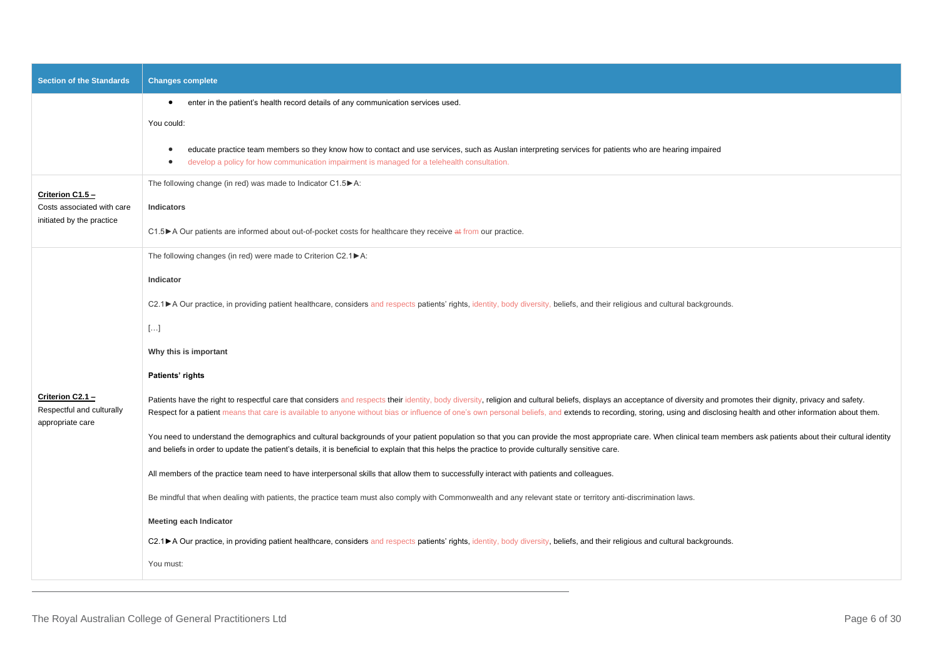| <b>Section of the Standards</b>                                   | <b>Changes complete</b>                                                                                                                                                                                                                                                                                                                                                                                                                             |
|-------------------------------------------------------------------|-----------------------------------------------------------------------------------------------------------------------------------------------------------------------------------------------------------------------------------------------------------------------------------------------------------------------------------------------------------------------------------------------------------------------------------------------------|
|                                                                   | enter in the patient's health record details of any communication services used.<br>$\bullet$                                                                                                                                                                                                                                                                                                                                                       |
|                                                                   | You could:                                                                                                                                                                                                                                                                                                                                                                                                                                          |
|                                                                   | educate practice team members so they know how to contact and use services, such as Auslan interpreting services for patients who are hearing impaired<br>develop a policy for how communication impairment is managed for a telehealth consultation.                                                                                                                                                                                               |
|                                                                   | The following change (in red) was made to Indicator C1.5 ▶ A:                                                                                                                                                                                                                                                                                                                                                                                       |
| Criterion C1.5 -<br>Costs associated with care                    | <b>Indicators</b>                                                                                                                                                                                                                                                                                                                                                                                                                                   |
| initiated by the practice                                         | C1.5 ► A Our patients are informed about out-of-pocket costs for healthcare they receive at from our practice.                                                                                                                                                                                                                                                                                                                                      |
|                                                                   | The following changes (in red) were made to Criterion C2.1▶A:                                                                                                                                                                                                                                                                                                                                                                                       |
|                                                                   | Indicator                                                                                                                                                                                                                                                                                                                                                                                                                                           |
|                                                                   | C2.1▶A Our practice, in providing patient healthcare, considers and respects patients' rights, identity, body diversity, beliefs, and their religious and cultural backgrounds.                                                                                                                                                                                                                                                                     |
|                                                                   | $[\ldots]$                                                                                                                                                                                                                                                                                                                                                                                                                                          |
|                                                                   | Why this is important                                                                                                                                                                                                                                                                                                                                                                                                                               |
|                                                                   | Patients' rights                                                                                                                                                                                                                                                                                                                                                                                                                                    |
| Criterion C2.1 -<br>Respectful and culturally<br>appropriate care | Patients have the right to respectful care that considers and respects their identity, body diversity, religion and cultural beliefs, displays an acceptance of diversity and promotes their dignity, privacy and safety.<br>Respect for a patient means that care is available to anyone without bias or influence of one's own personal beliefs, and extends to recording, storing, using and disclosing health and other information about them. |
|                                                                   | You need to understand the demographics and cultural backgrounds of your patient population so that you can provide the most appropriate care. When clinical team members ask patients about their cultural identity<br>and beliefs in order to update the patient's details, it is beneficial to explain that this helps the practice to provide culturally sensitive care.                                                                        |
|                                                                   | All members of the practice team need to have interpersonal skills that allow them to successfully interact with patients and colleagues.                                                                                                                                                                                                                                                                                                           |
|                                                                   | Be mindful that when dealing with patients, the practice team must also comply with Commonwealth and any relevant state or territory anti-discrimination laws.                                                                                                                                                                                                                                                                                      |
|                                                                   | <b>Meeting each Indicator</b>                                                                                                                                                                                                                                                                                                                                                                                                                       |
|                                                                   | C2.1▶A Our practice, in providing patient healthcare, considers and respects patients' rights, identity, body diversity, beliefs, and their religious and cultural backgrounds.                                                                                                                                                                                                                                                                     |
|                                                                   | You must:                                                                                                                                                                                                                                                                                                                                                                                                                                           |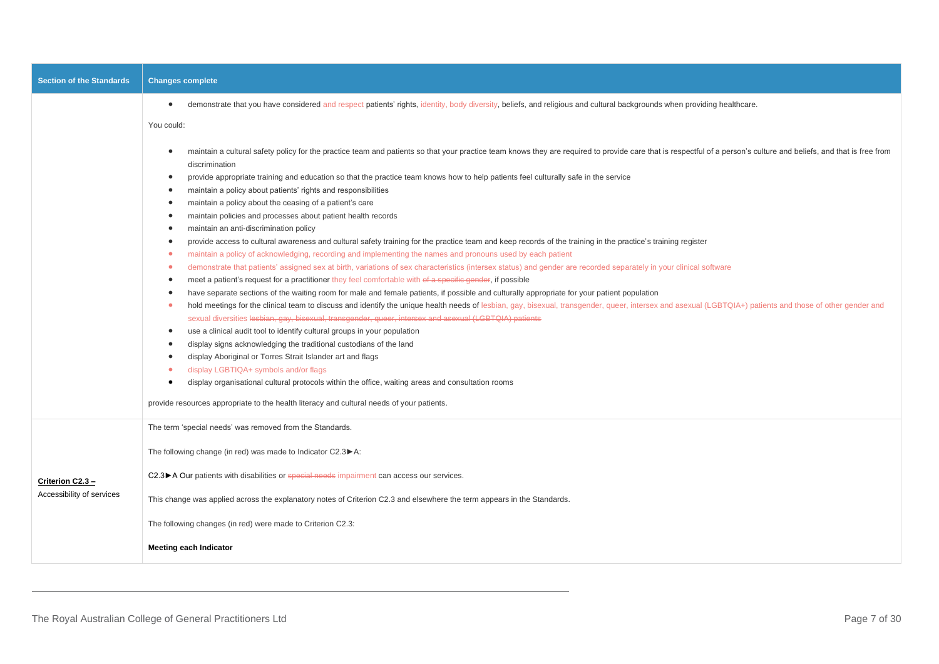| <b>Section of the Standards</b>               | <b>Changes complete</b>                                                                                                                                                                                                                                                         |
|-----------------------------------------------|---------------------------------------------------------------------------------------------------------------------------------------------------------------------------------------------------------------------------------------------------------------------------------|
|                                               | demonstrate that you have considered and respect patients' rights, identity, body diversity, beliefs, and religious and cultural backgrounds when providing healthcare.<br>$\bullet$                                                                                            |
|                                               | You could:                                                                                                                                                                                                                                                                      |
|                                               | maintain a cultural safety policy for the practice team and patients so that your practice team knows they are required to provide care that is respectful of a person's culture and beliefs, and that is free from<br>$\bullet$<br>discrimination                              |
|                                               | provide appropriate training and education so that the practice team knows how to help patients feel culturally safe in the service<br>$\bullet$                                                                                                                                |
|                                               | maintain a policy about patients' rights and responsibilities<br>$\bullet$                                                                                                                                                                                                      |
|                                               | maintain a policy about the ceasing of a patient's care<br>$\bullet$                                                                                                                                                                                                            |
|                                               | maintain policies and processes about patient health records<br>$\bullet$                                                                                                                                                                                                       |
|                                               | maintain an anti-discrimination policy<br>$\bullet$                                                                                                                                                                                                                             |
|                                               | provide access to cultural awareness and cultural safety training for the practice team and keep records of the training in the practice's training register<br>maintain a policy of acknowledging, recording and implementing the names and pronouns used by each patient<br>٠ |
|                                               | demonstrate that patients' assigned sex at birth, variations of sex characteristics (intersex status) and gender are recorded separately in your clinical software<br>٠                                                                                                         |
|                                               | meet a patient's request for a practitioner they feel comfortable with of a specific gender, if possible                                                                                                                                                                        |
|                                               | have separate sections of the waiting room for male and female patients, if possible and culturally appropriate for your patient population                                                                                                                                     |
|                                               | hold meetings for the clinical team to discuss and identify the unique health needs of lesbian, gay, bisexual, transgender, queer, intersex and asexual (LGBTQIA+) patients and those of other gender and                                                                       |
|                                               | sexual diversities lesbian, gay, bisexual, transgender, queer, intersex and asexual (LGBTQIA) patients                                                                                                                                                                          |
|                                               | use a clinical audit tool to identify cultural groups in your population<br>$\bullet$                                                                                                                                                                                           |
|                                               | display signs acknowledging the traditional custodians of the land<br>$\bullet$                                                                                                                                                                                                 |
|                                               | display Aboriginal or Torres Strait Islander art and flags<br>$\bullet$                                                                                                                                                                                                         |
|                                               | display LGBTIQA+ symbols and/or flags<br>$\bullet$                                                                                                                                                                                                                              |
|                                               | display organisational cultural protocols within the office, waiting areas and consultation rooms                                                                                                                                                                               |
|                                               | provide resources appropriate to the health literacy and cultural needs of your patients.                                                                                                                                                                                       |
|                                               | The term 'special needs' was removed from the Standards.                                                                                                                                                                                                                        |
|                                               | The following change (in red) was made to Indicator C2.3▶A:                                                                                                                                                                                                                     |
| Criterion C2.3 -<br>Accessibility of services | C2.3 ► A Our patients with disabilities or special needs impairment can access our services.                                                                                                                                                                                    |
|                                               | This change was applied across the explanatory notes of Criterion C2.3 and elsewhere the term appears in the Standards.                                                                                                                                                         |
|                                               | The following changes (in red) were made to Criterion C2.3:                                                                                                                                                                                                                     |
|                                               | <b>Meeting each Indicator</b>                                                                                                                                                                                                                                                   |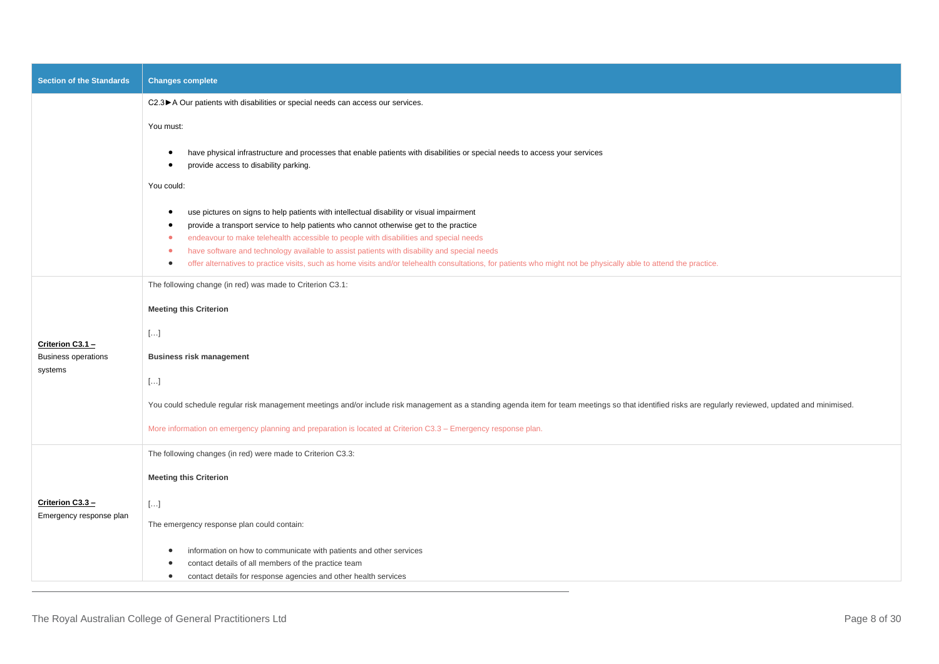| <b>Section of the Standards</b>             | <b>Changes complete</b>                                                                                                                                                                                                                                                                                                                                                                                                                                                                                                                                                                            |
|---------------------------------------------|----------------------------------------------------------------------------------------------------------------------------------------------------------------------------------------------------------------------------------------------------------------------------------------------------------------------------------------------------------------------------------------------------------------------------------------------------------------------------------------------------------------------------------------------------------------------------------------------------|
|                                             | C2.3▶ A Our patients with disabilities or special needs can access our services.                                                                                                                                                                                                                                                                                                                                                                                                                                                                                                                   |
|                                             | You must:                                                                                                                                                                                                                                                                                                                                                                                                                                                                                                                                                                                          |
|                                             | have physical infrastructure and processes that enable patients with disabilities or special needs to access your services<br>provide access to disability parking.                                                                                                                                                                                                                                                                                                                                                                                                                                |
|                                             | You could:                                                                                                                                                                                                                                                                                                                                                                                                                                                                                                                                                                                         |
|                                             | use pictures on signs to help patients with intellectual disability or visual impairment<br>$\bullet$<br>provide a transport service to help patients who cannot otherwise get to the practice<br>endeavour to make telehealth accessible to people with disabilities and special needs<br>$\bullet$<br>have software and technology available to assist patients with disability and special needs<br>$\bullet$<br>offer alternatives to practice visits, such as home visits and/or telehealth consultations, for patients who might not be physically able to attend the practice.<br>$\bullet$ |
|                                             | The following change (in red) was made to Criterion C3.1:                                                                                                                                                                                                                                                                                                                                                                                                                                                                                                                                          |
|                                             | <b>Meeting this Criterion</b>                                                                                                                                                                                                                                                                                                                                                                                                                                                                                                                                                                      |
| Criterion C3.1 -                            | $[\ldots]$                                                                                                                                                                                                                                                                                                                                                                                                                                                                                                                                                                                         |
| <b>Business operations</b><br>systems       | <b>Business risk management</b>                                                                                                                                                                                                                                                                                                                                                                                                                                                                                                                                                                    |
|                                             | $[\ldots]$                                                                                                                                                                                                                                                                                                                                                                                                                                                                                                                                                                                         |
|                                             | You could schedule regular risk management meetings and/or include risk management as a standing agenda item for team meetings so that identified risks are regularly reviewed, updated and minimised.                                                                                                                                                                                                                                                                                                                                                                                             |
|                                             | More information on emergency planning and preparation is located at Criterion C3.3 - Emergency response plan.                                                                                                                                                                                                                                                                                                                                                                                                                                                                                     |
|                                             | The following changes (in red) were made to Criterion C3.3:                                                                                                                                                                                                                                                                                                                                                                                                                                                                                                                                        |
|                                             | <b>Meeting this Criterion</b>                                                                                                                                                                                                                                                                                                                                                                                                                                                                                                                                                                      |
| Criterion C3.3 -<br>Emergency response plan | $[\ldots]$                                                                                                                                                                                                                                                                                                                                                                                                                                                                                                                                                                                         |
|                                             | The emergency response plan could contain:                                                                                                                                                                                                                                                                                                                                                                                                                                                                                                                                                         |
|                                             | information on how to communicate with patients and other services<br>contact details of all members of the practice team<br>contact details for response agencies and other health services<br>$\bullet$                                                                                                                                                                                                                                                                                                                                                                                          |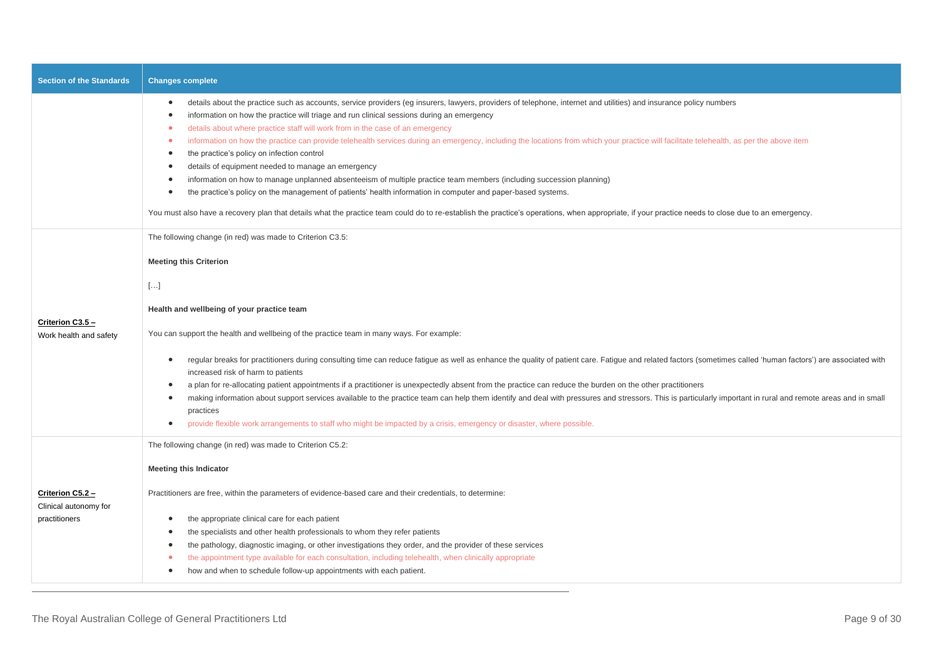| <b>Section of the Standards</b>                            | <b>Changes complete</b>                                                                                                                                                                                                                                                                                                                                                                                                                                                                                                                                                                                                                                                                                                                                                                                                                                                                                                                                                                                                                                                                                                                                                 |
|------------------------------------------------------------|-------------------------------------------------------------------------------------------------------------------------------------------------------------------------------------------------------------------------------------------------------------------------------------------------------------------------------------------------------------------------------------------------------------------------------------------------------------------------------------------------------------------------------------------------------------------------------------------------------------------------------------------------------------------------------------------------------------------------------------------------------------------------------------------------------------------------------------------------------------------------------------------------------------------------------------------------------------------------------------------------------------------------------------------------------------------------------------------------------------------------------------------------------------------------|
|                                                            | details about the practice such as accounts, service providers (eg insurers, lawyers, providers of telephone, internet and utilities) and insurance policy numbers<br>$\bullet$<br>information on how the practice will triage and run clinical sessions during an emergency<br>$\bullet$<br>details about where practice staff will work from in the case of an emergency<br>information on how the practice can provide telehealth services during an emergency, including the locations from which your practice will facilitate telehealth, as per the above item<br>$\bullet$<br>the practice's policy on infection control<br>$\bullet$<br>details of equipment needed to manage an emergency<br>$\bullet$<br>information on how to manage unplanned absenteeism of multiple practice team members (including succession planning)<br>٠<br>the practice's policy on the management of patients' health information in computer and paper-based systems.<br>٠<br>You must also have a recovery plan that details what the practice team could do to re-establish the practice's operations, when appropriate, if your practice needs to close due to an emergency. |
| Criterion C3.5 -<br>Work health and safety                 | The following change (in red) was made to Criterion C3.5:<br><b>Meeting this Criterion</b><br>$[]$<br>Health and wellbeing of your practice team<br>You can support the health and wellbeing of the practice team in many ways. For example:<br>regular breaks for practitioners during consulting time can reduce fatigue as well as enhance the quality of patient care. Fatigue and related factors (sometimes called 'human factors') are associated with<br>٠<br>increased risk of harm to patients<br>a plan for re-allocating patient appointments if a practitioner is unexpectedly absent from the practice can reduce the burden on the other practitioners<br>٠<br>making information about support services available to the practice team can help them identify and deal with pressures and stressors. This is particularly important in rural and remote areas and in small<br>$\bullet$<br>practices<br>provide flexible work arrangements to staff who might be impacted by a crisis, emergency or disaster, where possible.<br>$\bullet$                                                                                                              |
| Criterion C5.2 -<br>Clinical autonomy for<br>practitioners | The following change (in red) was made to Criterion C5.2:<br><b>Meeting this Indicator</b><br>Practitioners are free, within the parameters of evidence-based care and their credentials, to determine:<br>the appropriate clinical care for each patient<br>the specialists and other health professionals to whom they refer patients<br>$\bullet$<br>the pathology, diagnostic imaging, or other investigations they order, and the provider of these services<br>٠<br>the appointment type available for each consultation, including telehealth, when clinically appropriate<br>how and when to schedule follow-up appointments with each patient.<br>٠                                                                                                                                                                                                                                                                                                                                                                                                                                                                                                            |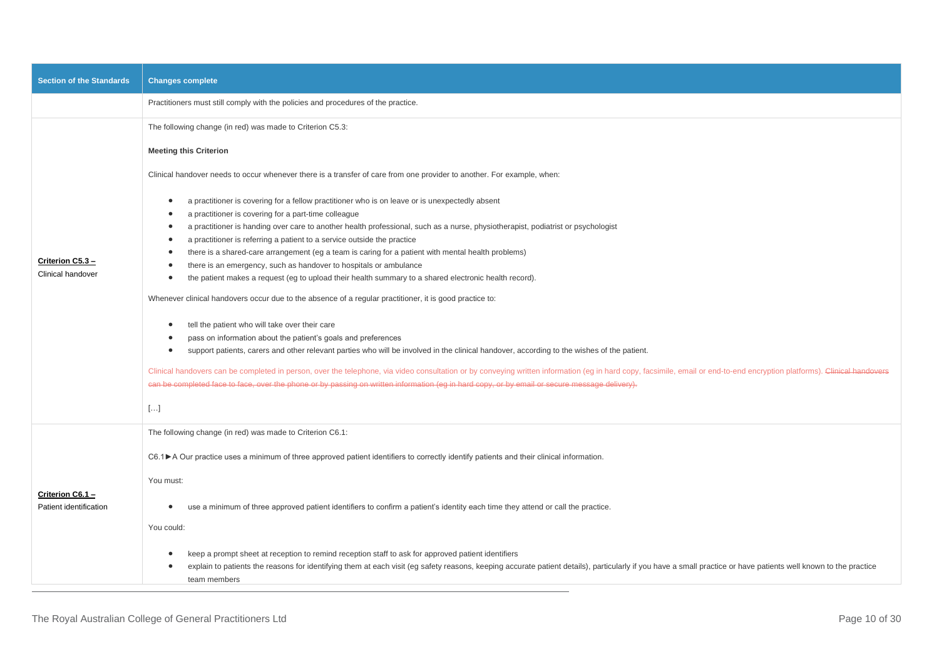| <b>Section of the Standards</b>            | <b>Changes complete</b>                                                                                                                                                                                                                                                                                                               |
|--------------------------------------------|---------------------------------------------------------------------------------------------------------------------------------------------------------------------------------------------------------------------------------------------------------------------------------------------------------------------------------------|
|                                            | Practitioners must still comply with the policies and procedures of the practice.                                                                                                                                                                                                                                                     |
|                                            | The following change (in red) was made to Criterion C5.3:                                                                                                                                                                                                                                                                             |
|                                            | <b>Meeting this Criterion</b>                                                                                                                                                                                                                                                                                                         |
|                                            | Clinical handover needs to occur whenever there is a transfer of care from one provider to another. For example, when:                                                                                                                                                                                                                |
|                                            | a practitioner is covering for a fellow practitioner who is on leave or is unexpectedly absent<br>$\bullet$<br>a practitioner is covering for a part-time colleague<br>a practitioner is handing over care to another health professional, such as a nurse, physiotherapist, podiatrist or psychologist                               |
|                                            | a practitioner is referring a patient to a service outside the practice<br>$\bullet$                                                                                                                                                                                                                                                  |
|                                            | there is a shared-care arrangement (eg a team is caring for a patient with mental health problems)<br>$\bullet$                                                                                                                                                                                                                       |
| Criterion C5.3 -<br>Clinical handover      | there is an emergency, such as handover to hospitals or ambulance<br>$\bullet$                                                                                                                                                                                                                                                        |
|                                            | the patient makes a request (eg to upload their health summary to a shared electronic health record).<br>$\bullet$                                                                                                                                                                                                                    |
|                                            | Whenever clinical handovers occur due to the absence of a regular practitioner, it is good practice to:                                                                                                                                                                                                                               |
|                                            | tell the patient who will take over their care                                                                                                                                                                                                                                                                                        |
|                                            | pass on information about the patient's goals and preferences<br>$\bullet$                                                                                                                                                                                                                                                            |
|                                            | support patients, carers and other relevant parties who will be involved in the clinical handover, according to the wishes of the patient.<br>$\bullet$                                                                                                                                                                               |
|                                            | Clinical handovers can be completed in person, over the telephone, via video consultation or by conveying written information (eg in hard copy, facsimile, email or end-to-end encryption platforms). Clinical handovers                                                                                                              |
|                                            | can be completed face to face, over the phone or by passing on written information (eg in hard copy, or by email or secure message delivery).                                                                                                                                                                                         |
|                                            | $[]$                                                                                                                                                                                                                                                                                                                                  |
|                                            | The following change (in red) was made to Criterion C6.1:                                                                                                                                                                                                                                                                             |
|                                            | C6.1►A Our practice uses a minimum of three approved patient identifiers to correctly identify patients and their clinical information.                                                                                                                                                                                               |
|                                            | You must:                                                                                                                                                                                                                                                                                                                             |
| Criterion C6.1 -<br>Patient identification | use a minimum of three approved patient identifiers to confirm a patient's identity each time they attend or call the practice.                                                                                                                                                                                                       |
|                                            | You could:                                                                                                                                                                                                                                                                                                                            |
|                                            | keep a prompt sheet at reception to remind reception staff to ask for approved patient identifiers<br>explain to patients the reasons for identifying them at each visit (eg safety reasons, keeping accurate patient details), particularly if you have a small practice or have patients well known to the practice<br>team members |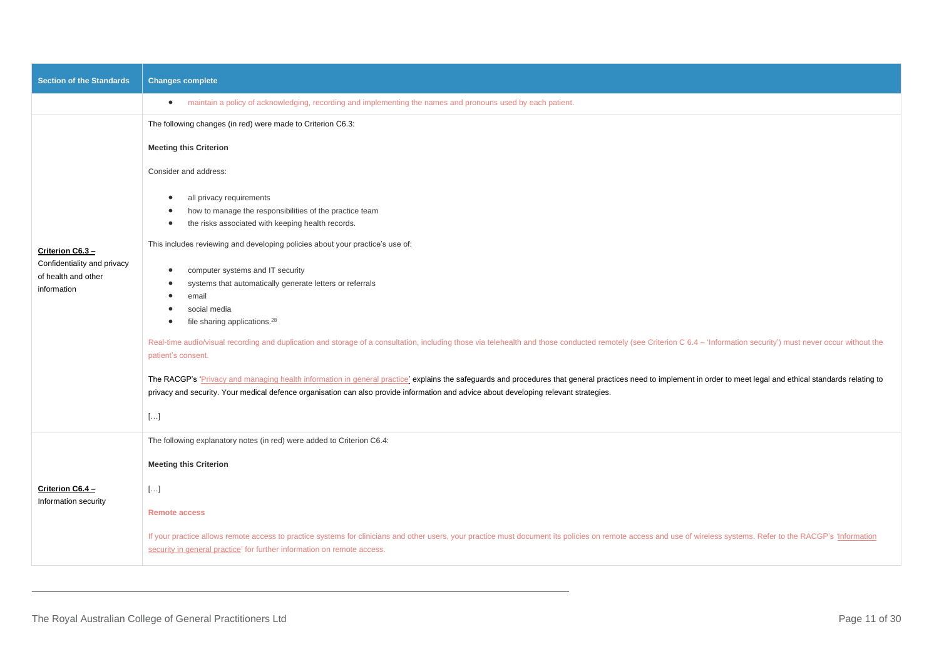| Section of the Standards                                          | <b>Changes complete</b>                                                                                                                                                                                                                                                                                                                                                                                                             |
|-------------------------------------------------------------------|-------------------------------------------------------------------------------------------------------------------------------------------------------------------------------------------------------------------------------------------------------------------------------------------------------------------------------------------------------------------------------------------------------------------------------------|
|                                                                   | maintain a policy of acknowledging, recording and implementing the names and pronouns used by each patient.<br>$\bullet$                                                                                                                                                                                                                                                                                                            |
|                                                                   | The following changes (in red) were made to Criterion C6.3:                                                                                                                                                                                                                                                                                                                                                                         |
|                                                                   | <b>Meeting this Criterion</b>                                                                                                                                                                                                                                                                                                                                                                                                       |
|                                                                   | Consider and address:                                                                                                                                                                                                                                                                                                                                                                                                               |
|                                                                   | all privacy requirements<br>how to manage the responsibilities of the practice team<br>the risks associated with keeping health records.<br>$\bullet$                                                                                                                                                                                                                                                                               |
| Criterion C6.3 -                                                  | This includes reviewing and developing policies about your practice's use of:                                                                                                                                                                                                                                                                                                                                                       |
| Confidentiality and privacy<br>of health and other<br>information | computer systems and IT security<br>$\bullet$<br>systems that automatically generate letters or referrals<br>email<br>$\bullet$<br>social media<br>file sharing applications. <sup>28</sup><br>$\bullet$<br>Real-time audio/visual recording and duplication and storage of a consultation, including those via telehealth and those conducted remotely (see Criterion C 6.4 - 'Information security') must never occur without the |
|                                                                   | patient's consent.<br>The RACGP's 'Privacy and managing health information in general practice' explains the safeguards and procedures that general practices need to implement in order to meet legal and ethical standards relating to<br>privacy and security. Your medical defence organisation can also provide information and advice about developing relevant strategies.<br>$[]$                                           |
|                                                                   | The following explanatory notes (in red) were added to Criterion C6.4:                                                                                                                                                                                                                                                                                                                                                              |
| Criterion C6.4 -<br>Information security                          | <b>Meeting this Criterion</b>                                                                                                                                                                                                                                                                                                                                                                                                       |
|                                                                   | $[\ldots]$                                                                                                                                                                                                                                                                                                                                                                                                                          |
|                                                                   | <b>Remote access</b>                                                                                                                                                                                                                                                                                                                                                                                                                |
|                                                                   | If your practice allows remote access to practice systems for clinicians and other users, your practice must document its policies on remote access and use of wireless systems. Refer to the RACGP's 'Information<br>security in general practice' for further information on remote access.                                                                                                                                       |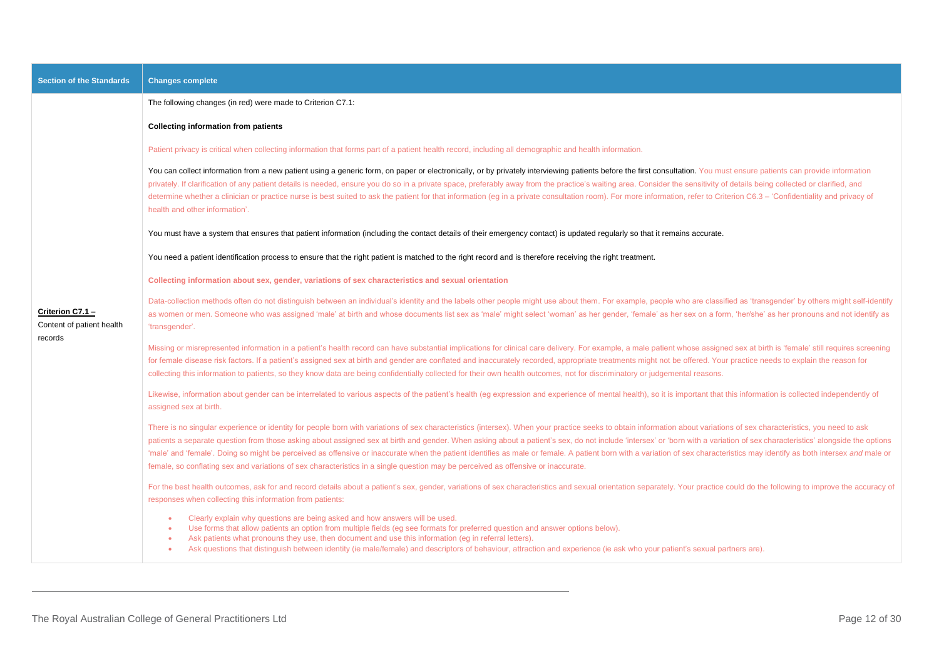| <b>Section of the Standards</b>                          | <b>Changes complete</b>                                                                                                                                                                                                                                                                                                                                                                                                                                                                                                                                                                                                                                                                                                                                                                                                   |
|----------------------------------------------------------|---------------------------------------------------------------------------------------------------------------------------------------------------------------------------------------------------------------------------------------------------------------------------------------------------------------------------------------------------------------------------------------------------------------------------------------------------------------------------------------------------------------------------------------------------------------------------------------------------------------------------------------------------------------------------------------------------------------------------------------------------------------------------------------------------------------------------|
|                                                          | The following changes (in red) were made to Criterion C7.1:                                                                                                                                                                                                                                                                                                                                                                                                                                                                                                                                                                                                                                                                                                                                                               |
|                                                          | <b>Collecting information from patients</b>                                                                                                                                                                                                                                                                                                                                                                                                                                                                                                                                                                                                                                                                                                                                                                               |
|                                                          | Patient privacy is critical when collecting information that forms part of a patient health record, including all demographic and health information.                                                                                                                                                                                                                                                                                                                                                                                                                                                                                                                                                                                                                                                                     |
|                                                          | You can collect information from a new patient using a generic form, on paper or electronically, or by privately interviewing patients before the first consultation. You must ensure patients can provide information<br>privately. If clarification of any patient details is needed, ensure you do so in a private space, preferably away from the practice's waiting area. Consider the sensitivity of details being collected or clarified, and<br>determine whether a clinician or practice nurse is best suited to ask the patient for that information (eg in a private consultation room). For more information, refer to Criterion C6.3 - 'Confidentiality and privacy of<br>health and other information'.                                                                                                     |
|                                                          | You must have a system that ensures that patient information (including the contact details of their emergency contact) is updated regularly so that it remains accurate.                                                                                                                                                                                                                                                                                                                                                                                                                                                                                                                                                                                                                                                 |
|                                                          | You need a patient identification process to ensure that the right patient is matched to the right record and is therefore receiving the right treatment.                                                                                                                                                                                                                                                                                                                                                                                                                                                                                                                                                                                                                                                                 |
|                                                          | Collecting information about sex, gender, variations of sex characteristics and sexual orientation                                                                                                                                                                                                                                                                                                                                                                                                                                                                                                                                                                                                                                                                                                                        |
| Criterion C7.1 -<br>Content of patient health<br>records | Data-collection methods often do not distinguish between an individual's identity and the labels other people might use about them. For example, people who are classified as 'transgender' by others might self-identify<br>as women or men. Someone who was assigned 'male' at birth and whose documents list sex as 'male' might select 'woman' as her gender, 'female' as her sex on a form, 'her/she' as her pronouns and not identify as<br>'transgender'.                                                                                                                                                                                                                                                                                                                                                          |
|                                                          | Missing or misrepresented information in a patient's health record can have substantial implications for clinical care delivery. For example, a male patient whose assigned sex at birth is 'female' still requires screening<br>for female disease risk factors. If a patient's assigned sex at birth and gender are conflated and inaccurately recorded, appropriate treatments might not be offered. Your practice needs to explain the reason for<br>collecting this information to patients, so they know data are being confidentially collected for their own health outcomes, not for discriminatory or judgemental reasons.                                                                                                                                                                                      |
|                                                          | Likewise, information about gender can be interrelated to various aspects of the patient's health (eg expression and experience of mental health), so it is important that this information is collected independently of<br>assigned sex at birth.                                                                                                                                                                                                                                                                                                                                                                                                                                                                                                                                                                       |
|                                                          | There is no singular experience or identity for people born with variations of sex characteristics (intersex). When your practice seeks to obtain information about variations of sex characteristics, you need to ask<br>patients a separate question from those asking about assigned sex at birth and gender. When asking about a patient's sex, do not include 'intersex' or 'born with a variation of sex characteristics' alongside the options<br>'male' and 'female'. Doing so might be perceived as offensive or inaccurate when the patient identifies as male or female. A patient born with a variation of sex characteristics may identify as both intersex and male or<br>female, so conflating sex and variations of sex characteristics in a single question may be perceived as offensive or inaccurate. |
|                                                          | For the best health outcomes, ask for and record details about a patient's sex, gender, variations of sex characteristics and sexual orientation separately. Your practice could do the following to improve the accuracy of<br>responses when collecting this information from patients:                                                                                                                                                                                                                                                                                                                                                                                                                                                                                                                                 |
|                                                          | Clearly explain why questions are being asked and how answers will be used.<br>Use forms that allow patients an option from multiple fields (eg see formats for preferred question and answer options below).<br>Ask patients what pronouns they use, then document and use this information (eg in referral letters).<br>Ask questions that distinguish between identity (ie male/female) and descriptors of behaviour, attraction and experience (ie ask who your patient's sexual partners are).<br>$\bullet$                                                                                                                                                                                                                                                                                                          |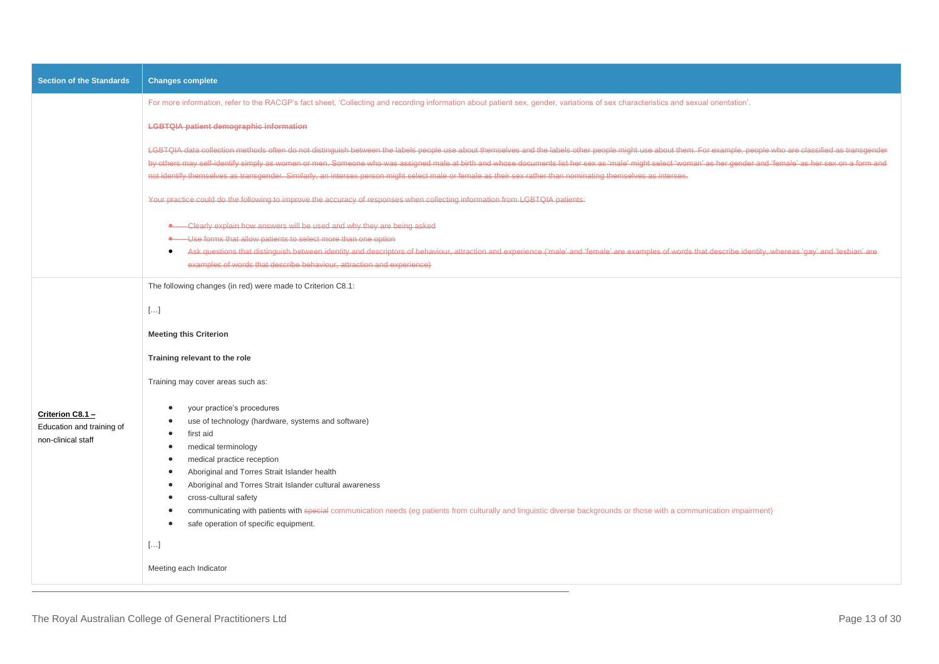| <b>Section of the Standards</b>                                       | <b>Changes complete</b>                                                                                                                                                                                                                                                                                                                                                                                                                                                                                                                                                                                                    |
|-----------------------------------------------------------------------|----------------------------------------------------------------------------------------------------------------------------------------------------------------------------------------------------------------------------------------------------------------------------------------------------------------------------------------------------------------------------------------------------------------------------------------------------------------------------------------------------------------------------------------------------------------------------------------------------------------------------|
|                                                                       | For more information, refer to the RACGP's fact sheet, 'Collecting and recording information about patient sex, gender, variations of sex characteristics and sexual orientation'.                                                                                                                                                                                                                                                                                                                                                                                                                                         |
|                                                                       | <b>LGBTQIA patient demographic information</b>                                                                                                                                                                                                                                                                                                                                                                                                                                                                                                                                                                             |
|                                                                       | LGBTQIA data collection methods often do not distinguish between the labels people use about themselves and the labels other people might use about them. For example, people who are classified as transgender<br>by others may self-identify simply as women or men. Someone who was assigned male at birth and whose documents list her sex as 'male' might select 'woman' as her gender and 'female' as her sex on a form and<br>not identify themselves as transgender. Similarly, an intersex person might select male or female as their sex rather than nominating themselves as intersex.                         |
|                                                                       | Your practice could do the following to improve the accuracy of responses when collecting information from LGBTQIA patients:                                                                                                                                                                                                                                                                                                                                                                                                                                                                                               |
|                                                                       | • Glearly explain how answers will be used and why they are being asked<br>-Use forms that allow patients to select more than one option<br>←<br>Ask questions that distinguish between identity and descriptors of behaviour, attraction and experience ('male' and 'female' are examples of words that describe identity, whereas 'gay' and 'lesbian' are<br>$\bullet$<br>examples of words that describe behaviour, attraction and experience)                                                                                                                                                                          |
|                                                                       | The following changes (in red) were made to Criterion C8.1:                                                                                                                                                                                                                                                                                                                                                                                                                                                                                                                                                                |
|                                                                       | $[\ldots]$                                                                                                                                                                                                                                                                                                                                                                                                                                                                                                                                                                                                                 |
|                                                                       | <b>Meeting this Criterion</b>                                                                                                                                                                                                                                                                                                                                                                                                                                                                                                                                                                                              |
|                                                                       | Training relevant to the role                                                                                                                                                                                                                                                                                                                                                                                                                                                                                                                                                                                              |
|                                                                       | Training may cover areas such as:                                                                                                                                                                                                                                                                                                                                                                                                                                                                                                                                                                                          |
| Criterion C8.1 $-$<br>Education and training of<br>non-clinical staff | your practice's procedures<br>use of technology (hardware, systems and software)<br>$\bullet$<br>first aid<br>$\bullet$<br>medical terminology<br>$\bullet$<br>medical practice reception<br>$\bullet$<br>Aboriginal and Torres Strait Islander health<br>$\bullet$<br>Aboriginal and Torres Strait Islander cultural awareness<br>$\bullet$<br>cross-cultural safety<br>communicating with patients with special communication needs (eg patients from culturally and linguistic diverse backgrounds or those with a communication impairment)<br>$\bullet$<br>safe operation of specific equipment.<br>$\bullet$<br>$[]$ |
|                                                                       | Meeting each Indicator                                                                                                                                                                                                                                                                                                                                                                                                                                                                                                                                                                                                     |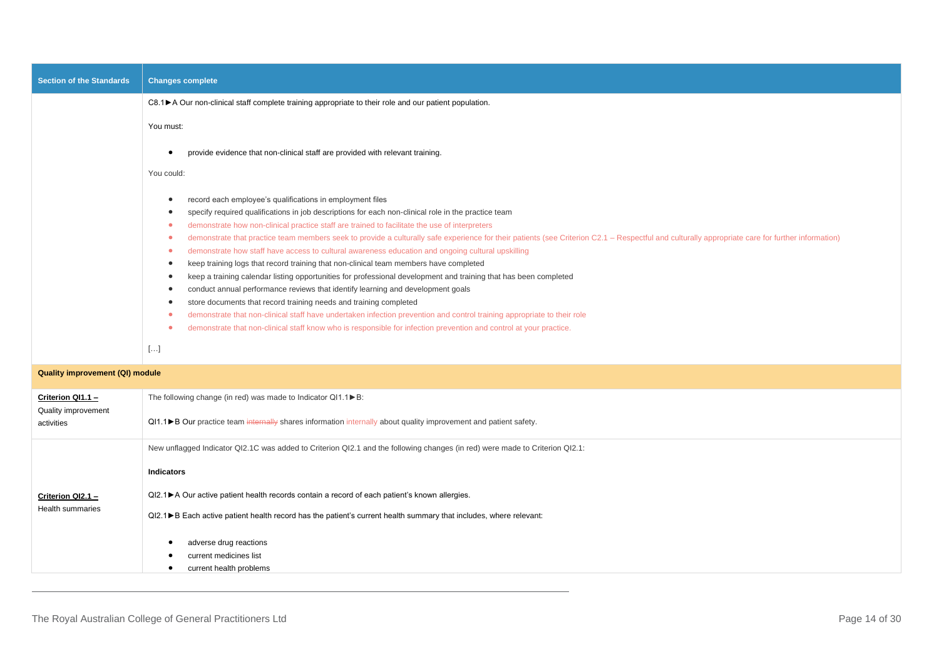| <b>Section of the Standards</b> | <b>Changes complete</b>                                                                                                                                                                                                                                                                                                                                                                                                                                                                                                                                                                                                                                                                                                                                                                                                                                                                                                                                                                                                                                                                                                                                                                                  |
|---------------------------------|----------------------------------------------------------------------------------------------------------------------------------------------------------------------------------------------------------------------------------------------------------------------------------------------------------------------------------------------------------------------------------------------------------------------------------------------------------------------------------------------------------------------------------------------------------------------------------------------------------------------------------------------------------------------------------------------------------------------------------------------------------------------------------------------------------------------------------------------------------------------------------------------------------------------------------------------------------------------------------------------------------------------------------------------------------------------------------------------------------------------------------------------------------------------------------------------------------|
|                                 | C8.1 ► A Our non-clinical staff complete training appropriate to their role and our patient population.                                                                                                                                                                                                                                                                                                                                                                                                                                                                                                                                                                                                                                                                                                                                                                                                                                                                                                                                                                                                                                                                                                  |
|                                 | You must:                                                                                                                                                                                                                                                                                                                                                                                                                                                                                                                                                                                                                                                                                                                                                                                                                                                                                                                                                                                                                                                                                                                                                                                                |
|                                 | provide evidence that non-clinical staff are provided with relevant training.                                                                                                                                                                                                                                                                                                                                                                                                                                                                                                                                                                                                                                                                                                                                                                                                                                                                                                                                                                                                                                                                                                                            |
|                                 | You could:                                                                                                                                                                                                                                                                                                                                                                                                                                                                                                                                                                                                                                                                                                                                                                                                                                                                                                                                                                                                                                                                                                                                                                                               |
|                                 | record each employee's qualifications in employment files<br>specify required qualifications in job descriptions for each non-clinical role in the practice team<br>demonstrate how non-clinical practice staff are trained to facilitate the use of interpreters<br>demonstrate that practice team members seek to provide a culturally safe experience for their patients (see Criterion C2.1 - Respectful and culturally appropriate care for further information)<br>demonstrate how staff have access to cultural awareness education and ongoing cultural upskilling<br>keep training logs that record training that non-clinical team members have completed<br>keep a training calendar listing opportunities for professional development and training that has been completed<br>conduct annual performance reviews that identify learning and development goals<br>store documents that record training needs and training completed<br>demonstrate that non-clinical staff have undertaken infection prevention and control training appropriate to their role<br>demonstrate that non-clinical staff know who is responsible for infection prevention and control at your practice.<br>$[]$ |

|  | <b>Quality improvement (QI) module</b> |  |  |
|--|----------------------------------------|--|--|
|--|----------------------------------------|--|--|

| Criterion QI1.1 -<br>Quality improvement | The following change (in red) was made to Indicator $Q11.1 \triangleright B$ :                                               |
|------------------------------------------|------------------------------------------------------------------------------------------------------------------------------|
| activities                               | QI1.1▶B Our practice team internally shares information internally about quality improvement and patient safety.             |
|                                          | New unflagged Indicator QI2.1C was added to Criterion QI2.1 and the following changes (in red) were made to Criterion QI2.1: |
|                                          | <b>Indicators</b>                                                                                                            |
| Criterion QI2.1 -                        | QI2.1▶ A Our active patient health records contain a record of each patient's known allergies.                               |
| <b>Health summaries</b>                  | QI2.1▶B Each active patient health record has the patient's current health summary that includes, where relevant:            |
|                                          | adverse drug reactions<br>current medicines list<br>current health problems                                                  |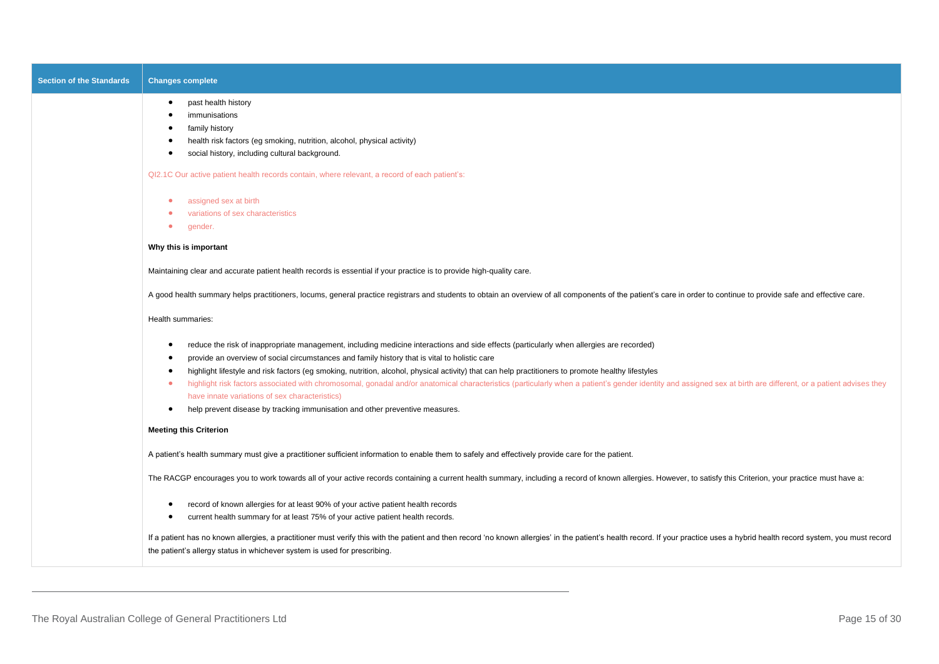| <b>Section of the Standards</b> | <b>Changes complete</b>                                                                                                                                                                                                                                                                                                                                                                                                                                                                                                                                                                                                                                                                                                                                                        |
|---------------------------------|--------------------------------------------------------------------------------------------------------------------------------------------------------------------------------------------------------------------------------------------------------------------------------------------------------------------------------------------------------------------------------------------------------------------------------------------------------------------------------------------------------------------------------------------------------------------------------------------------------------------------------------------------------------------------------------------------------------------------------------------------------------------------------|
|                                 | past health history<br>$\bullet$<br>immunisations<br>family history<br>health risk factors (eg smoking, nutrition, alcohol, physical activity)<br>social history, including cultural background.<br>$\bullet$                                                                                                                                                                                                                                                                                                                                                                                                                                                                                                                                                                  |
|                                 | QI2.1C Our active patient health records contain, where relevant, a record of each patient's:                                                                                                                                                                                                                                                                                                                                                                                                                                                                                                                                                                                                                                                                                  |
|                                 | assigned sex at birth<br>$\bullet$<br>variations of sex characteristics<br>gender.<br>$\bullet$                                                                                                                                                                                                                                                                                                                                                                                                                                                                                                                                                                                                                                                                                |
|                                 | Why this is important                                                                                                                                                                                                                                                                                                                                                                                                                                                                                                                                                                                                                                                                                                                                                          |
|                                 | Maintaining clear and accurate patient health records is essential if your practice is to provide high-quality care.                                                                                                                                                                                                                                                                                                                                                                                                                                                                                                                                                                                                                                                           |
|                                 | A good health summary helps practitioners, locums, general practice registrars and students to obtain an overview of all components of the patient's care in order to continue to provide safe and effective care.                                                                                                                                                                                                                                                                                                                                                                                                                                                                                                                                                             |
|                                 | Health summaries:                                                                                                                                                                                                                                                                                                                                                                                                                                                                                                                                                                                                                                                                                                                                                              |
|                                 | reduce the risk of inappropriate management, including medicine interactions and side effects (particularly when allergies are recorded)<br>provide an overview of social circumstances and family history that is vital to holistic care<br>highlight lifestyle and risk factors (eg smoking, nutrition, alcohol, physical activity) that can help practitioners to promote healthy lifestyles<br>highlight risk factors associated with chromosomal, gonadal and/or anatomical characteristics (particularly when a patient's gender identity and assigned sex at birth are different, or a patient advises they<br>$\bullet$<br>have innate variations of sex characteristics)<br>help prevent disease by tracking immunisation and other preventive measures.<br>$\bullet$ |
|                                 | <b>Meeting this Criterion</b>                                                                                                                                                                                                                                                                                                                                                                                                                                                                                                                                                                                                                                                                                                                                                  |
|                                 | A patient's health summary must give a practitioner sufficient information to enable them to safely and effectively provide care for the patient.                                                                                                                                                                                                                                                                                                                                                                                                                                                                                                                                                                                                                              |
|                                 | The RACGP encourages you to work towards all of your active records containing a current health summary, including a record of known allergies. However, to satisfy this Criterion, your practice must have a:                                                                                                                                                                                                                                                                                                                                                                                                                                                                                                                                                                 |
|                                 | record of known allergies for at least 90% of your active patient health records<br>current health summary for at least 75% of your active patient health records.                                                                                                                                                                                                                                                                                                                                                                                                                                                                                                                                                                                                             |
|                                 | If a patient has no known allergies, a practitioner must verify this with the patient and then record 'no known allergies' in the patient's health record. If your practice uses a hybrid health record system, you must recor<br>the patient's allergy status in whichever system is used for prescribing.                                                                                                                                                                                                                                                                                                                                                                                                                                                                    |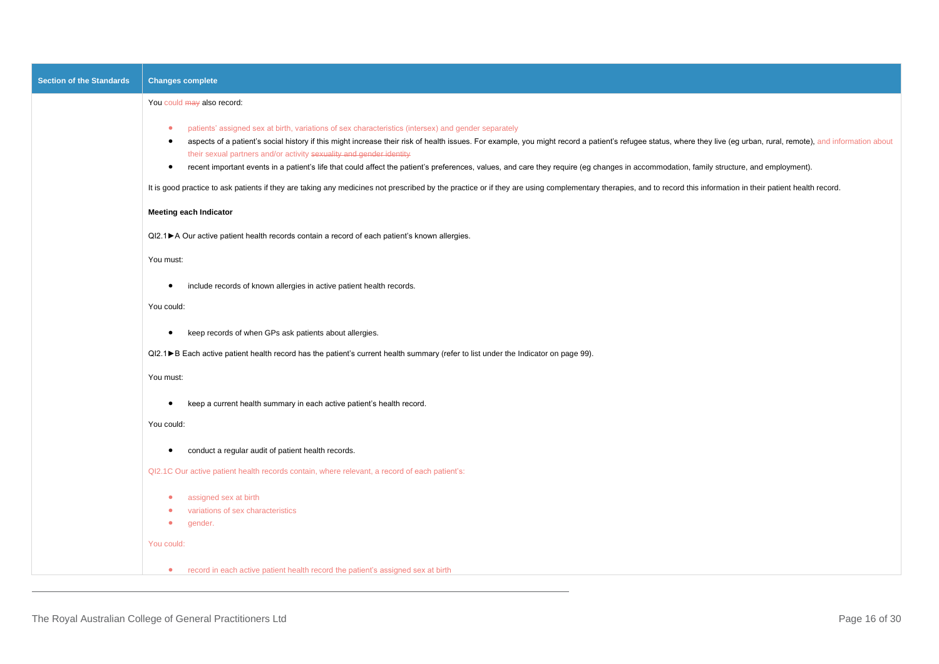| <b>Section of the Standards</b> | <b>Changes complete</b>                                                                                                                                                                                                                                                                                                                                                                                                                                                                                                                                                                                                              |
|---------------------------------|--------------------------------------------------------------------------------------------------------------------------------------------------------------------------------------------------------------------------------------------------------------------------------------------------------------------------------------------------------------------------------------------------------------------------------------------------------------------------------------------------------------------------------------------------------------------------------------------------------------------------------------|
|                                 | You could may also record:                                                                                                                                                                                                                                                                                                                                                                                                                                                                                                                                                                                                           |
|                                 | patients' assigned sex at birth, variations of sex characteristics (intersex) and gender separately<br>$\bullet$<br>aspects of a patient's social history if this might increase their risk of health issues. For example, you might record a patient's refugee status, where they live (eg urban, rural, remote), and information about<br>$\bullet$<br>their sexual partners and/or activity sexuality and gender identity<br>recent important events in a patient's life that could affect the patient's preferences, values, and care they require (eg changes in accommodation, family structure, and employment).<br>$\bullet$ |
|                                 | It is good practice to ask patients if they are taking any medicines not prescribed by the practice or if they are using complementary therapies, and to record this information in their patient health record.                                                                                                                                                                                                                                                                                                                                                                                                                     |
|                                 | <b>Meeting each Indicator</b>                                                                                                                                                                                                                                                                                                                                                                                                                                                                                                                                                                                                        |
|                                 | QI2.1▶ A Our active patient health records contain a record of each patient's known allergies.                                                                                                                                                                                                                                                                                                                                                                                                                                                                                                                                       |
|                                 | You must:                                                                                                                                                                                                                                                                                                                                                                                                                                                                                                                                                                                                                            |
|                                 | include records of known allergies in active patient health records.                                                                                                                                                                                                                                                                                                                                                                                                                                                                                                                                                                 |
|                                 | You could:                                                                                                                                                                                                                                                                                                                                                                                                                                                                                                                                                                                                                           |
|                                 | keep records of when GPs ask patients about allergies.<br>$\bullet$                                                                                                                                                                                                                                                                                                                                                                                                                                                                                                                                                                  |
|                                 | QI2.1▶B Each active patient health record has the patient's current health summary (refer to list under the Indicator on page 99).                                                                                                                                                                                                                                                                                                                                                                                                                                                                                                   |
|                                 | You must:                                                                                                                                                                                                                                                                                                                                                                                                                                                                                                                                                                                                                            |
|                                 | keep a current health summary in each active patient's health record.<br>$\bullet$                                                                                                                                                                                                                                                                                                                                                                                                                                                                                                                                                   |
|                                 | You could:                                                                                                                                                                                                                                                                                                                                                                                                                                                                                                                                                                                                                           |
|                                 | conduct a regular audit of patient health records.<br>$\bullet$                                                                                                                                                                                                                                                                                                                                                                                                                                                                                                                                                                      |
|                                 | QI2.1C Our active patient health records contain, where relevant, a record of each patient's:                                                                                                                                                                                                                                                                                                                                                                                                                                                                                                                                        |
|                                 | assigned sex at birth<br>$\bullet$<br>variations of sex characteristics<br>$\bullet$<br>$\bullet$<br>gender.                                                                                                                                                                                                                                                                                                                                                                                                                                                                                                                         |
|                                 | You could:                                                                                                                                                                                                                                                                                                                                                                                                                                                                                                                                                                                                                           |
|                                 | • record in each active patient health record the patient's assigned sex at birth                                                                                                                                                                                                                                                                                                                                                                                                                                                                                                                                                    |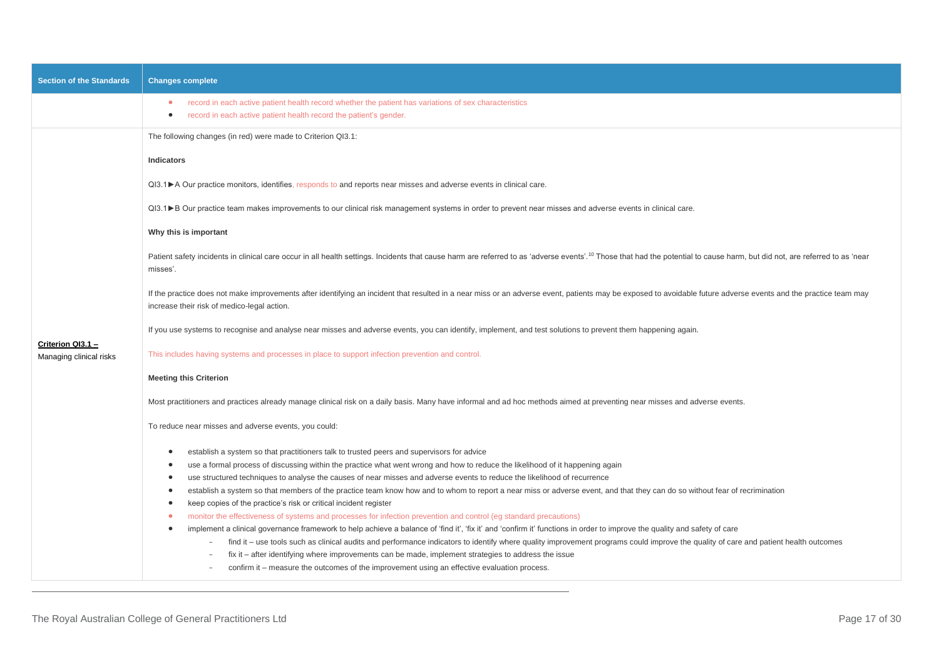| <b>Section of the Standards</b>              | <b>Changes complete</b>                                                                                                                                                                                                                                                                                    |
|----------------------------------------------|------------------------------------------------------------------------------------------------------------------------------------------------------------------------------------------------------------------------------------------------------------------------------------------------------------|
|                                              | record in each active patient health record whether the patient has variations of sex characteristics<br>۰<br>record in each active patient health record the patient's gender.<br>$\bullet$                                                                                                               |
|                                              | The following changes (in red) were made to Criterion QI3.1:                                                                                                                                                                                                                                               |
|                                              | Indicators                                                                                                                                                                                                                                                                                                 |
|                                              | Ql3.1▶ A Our practice monitors, identifies, responds to and reports near misses and adverse events in clinical care.                                                                                                                                                                                       |
|                                              | QI3.1▶B Our practice team makes improvements to our clinical risk management systems in order to prevent near misses and adverse events in clinical care.                                                                                                                                                  |
|                                              | Why this is important                                                                                                                                                                                                                                                                                      |
|                                              | Patient safety incidents in clinical care occur in all health settings. Incidents that cause harm are referred to as 'adverse events'. <sup>10</sup> Those that had the potential to cause harm, but did not, are referred to as 'near<br>misses'.                                                         |
|                                              | If the practice does not make improvements after identifying an incident that resulted in a near miss or an adverse event, patients may be exposed to avoidable future adverse events and the practice team may<br>increase their risk of medico-legal action.                                             |
|                                              | If you use systems to recognise and analyse near misses and adverse events, you can identify, implement, and test solutions to prevent them happening again.                                                                                                                                               |
| Criterion QI3.1 -<br>Managing clinical risks | This includes having systems and processes in place to support infection prevention and control.                                                                                                                                                                                                           |
|                                              | <b>Meeting this Criterion</b>                                                                                                                                                                                                                                                                              |
|                                              | Most practitioners and practices already manage clinical risk on a daily basis. Many have informal and ad hoc methods aimed at preventing near misses and adverse events.                                                                                                                                  |
|                                              | To reduce near misses and adverse events, you could:                                                                                                                                                                                                                                                       |
|                                              | establish a system so that practitioners talk to trusted peers and supervisors for advice<br>$\bullet$                                                                                                                                                                                                     |
|                                              | use a formal process of discussing within the practice what went wrong and how to reduce the likelihood of it happening again<br>$\bullet$                                                                                                                                                                 |
|                                              | use structured techniques to analyse the causes of near misses and adverse events to reduce the likelihood of recurrence<br>$\bullet$                                                                                                                                                                      |
|                                              | establish a system so that members of the practice team know how and to whom to report a near miss or adverse event, and that they can do so without fear of recrimination<br>$\bullet$                                                                                                                    |
|                                              | keep copies of the practice's risk or critical incident register<br>$\bullet$<br>$\bullet$                                                                                                                                                                                                                 |
|                                              | monitor the effectiveness of systems and processes for infection prevention and control (eg standard precautions)<br>implement a clinical governance framework to help achieve a balance of 'find it', 'fix it' and 'confirm it' functions in order to improve the quality and safety of care<br>$\bullet$ |
|                                              | find it – use tools such as clinical audits and performance indicators to identify where quality improvement programs could improve the quality of care and patient health outcomes                                                                                                                        |
|                                              | $fix$ it – after identifying where improvements can be made, implement strategies to address the issue                                                                                                                                                                                                     |
|                                              | confirm it – measure the outcomes of the improvement using an effective evaluation process.                                                                                                                                                                                                                |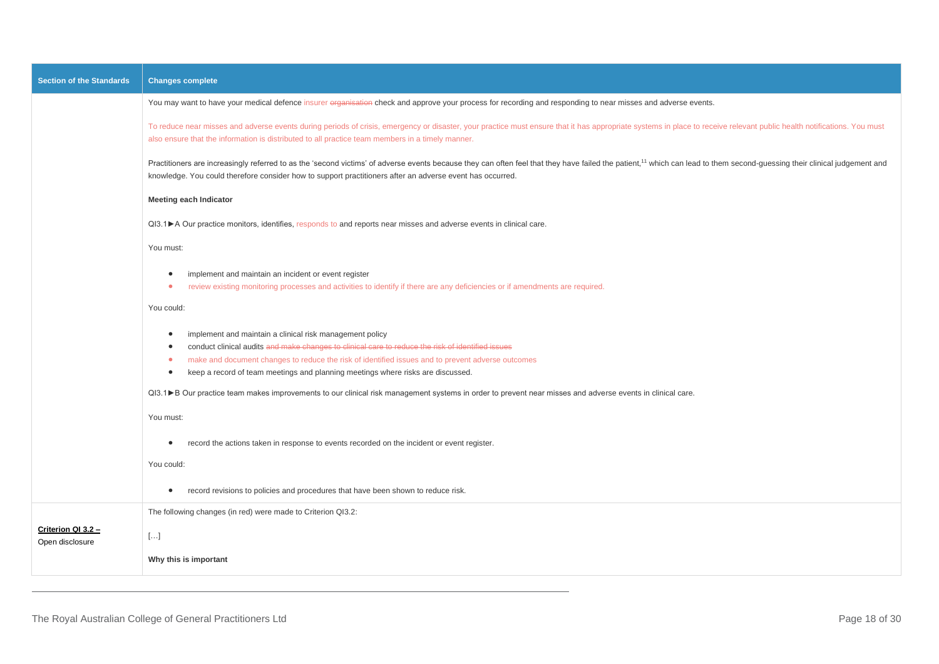| <b>Section of the Standards</b>       | <b>Changes complete</b>                                                                                                                                                                                                                                                                                                                                                              |
|---------------------------------------|--------------------------------------------------------------------------------------------------------------------------------------------------------------------------------------------------------------------------------------------------------------------------------------------------------------------------------------------------------------------------------------|
|                                       | You may want to have your medical defence insurer organisation check and approve your process for recording and responding to near misses and adverse events.                                                                                                                                                                                                                        |
|                                       | To reduce near misses and adverse events during periods of crisis, emergency or disaster, your practice must ensure that it has appropriate systems in place to receive relevant public health notifications. You must<br>also ensure that the information is distributed to all practice team members in a timely manner.                                                           |
|                                       | Practitioners are increasingly referred to as the 'second victims' of adverse events because they can often feel that they have failed the patient, <sup>11</sup> which can lead to them second-guessing their clinical judgement and<br>knowledge. You could therefore consider how to support practitioners after an adverse event has occurred.                                   |
|                                       | <b>Meeting each Indicator</b>                                                                                                                                                                                                                                                                                                                                                        |
|                                       | Ql3.1▶ A Our practice monitors, identifies, responds to and reports near misses and adverse events in clinical care.                                                                                                                                                                                                                                                                 |
|                                       | You must:                                                                                                                                                                                                                                                                                                                                                                            |
|                                       | implement and maintain an incident or event register<br>٠<br>review existing monitoring processes and activities to identify if there are any deficiencies or if amendments are required.<br>$\bullet$                                                                                                                                                                               |
|                                       | You could:                                                                                                                                                                                                                                                                                                                                                                           |
|                                       | implement and maintain a clinical risk management policy<br>$\bullet$<br>conduct clinical audits and make changes to clinical care to reduce the risk of identified issues<br>make and document changes to reduce the risk of identified issues and to prevent adverse outcomes<br>۰<br>keep a record of team meetings and planning meetings where risks are discussed.<br>$\bullet$ |
|                                       | QI3.1▶B Our practice team makes improvements to our clinical risk management systems in order to prevent near misses and adverse events in clinical care.                                                                                                                                                                                                                            |
|                                       | You must:                                                                                                                                                                                                                                                                                                                                                                            |
|                                       | record the actions taken in response to events recorded on the incident or event register.<br>$\bullet$                                                                                                                                                                                                                                                                              |
|                                       | You could:                                                                                                                                                                                                                                                                                                                                                                           |
|                                       | record revisions to policies and procedures that have been shown to reduce risk.<br>$\bullet$                                                                                                                                                                                                                                                                                        |
|                                       | The following changes (in red) were made to Criterion QI3.2:                                                                                                                                                                                                                                                                                                                         |
| Criterion QI 3.2 -<br>Open disclosure | $[]$                                                                                                                                                                                                                                                                                                                                                                                 |
|                                       | Why this is important                                                                                                                                                                                                                                                                                                                                                                |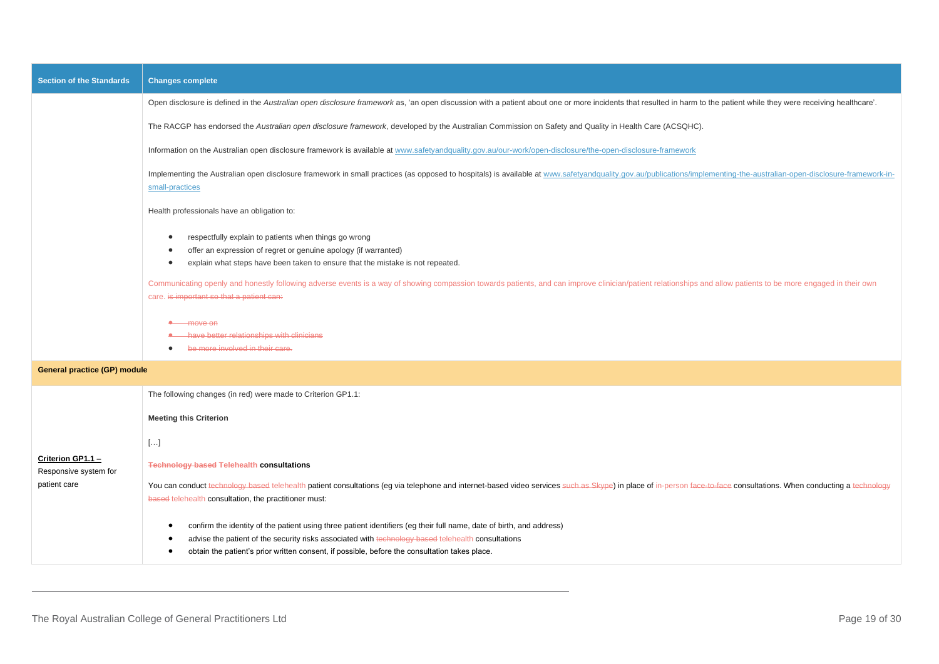| <b>Section of the Standards</b>            | <b>Changes complete</b>                                                                                                                                                                                                                                                                                                                                                                                                                                                   |
|--------------------------------------------|---------------------------------------------------------------------------------------------------------------------------------------------------------------------------------------------------------------------------------------------------------------------------------------------------------------------------------------------------------------------------------------------------------------------------------------------------------------------------|
|                                            | Open disclosure is defined in the Australian open disclosure framework as, 'an open discussion with a patient about one or more incidents that resulted in harm to the patient while they were receiving healthcare'.                                                                                                                                                                                                                                                     |
|                                            | The RACGP has endorsed the Australian open disclosure framework, developed by the Australian Commission on Safety and Quality in Health Care (ACSQHC).                                                                                                                                                                                                                                                                                                                    |
|                                            | Information on the Australian open disclosure framework is available at www.safetyandquality.gov.au/our-work/open-disclosure/the-open-disclosure-framework                                                                                                                                                                                                                                                                                                                |
|                                            | Implementing the Australian open disclosure framework in small practices (as opposed to hospitals) is available at www.safetyandquality.gov.au/publications/implementing-the-australian-open-disclosure-framework-in-<br>small-practices                                                                                                                                                                                                                                  |
|                                            | Health professionals have an obligation to:                                                                                                                                                                                                                                                                                                                                                                                                                               |
|                                            | respectfully explain to patients when things go wrong<br>offer an expression of regret or genuine apology (if warranted)<br>explain what steps have been taken to ensure that the mistake is not repeated.<br>Communicating openly and honestly following adverse events is a way of showing compassion towards patients, and can improve clinician/patient relationships and allow patients to be more engaged in their own<br>care. is important so that a patient can: |
|                                            | <b>A</b> move on<br>have better relationships with clinicians<br>be more involved in their care.<br>$\bullet$                                                                                                                                                                                                                                                                                                                                                             |
| <b>General practice (GP) module</b>        |                                                                                                                                                                                                                                                                                                                                                                                                                                                                           |
|                                            | The following changes (in red) were made to Criterion GP1.1:                                                                                                                                                                                                                                                                                                                                                                                                              |
|                                            | <b>Meeting this Criterion</b>                                                                                                                                                                                                                                                                                                                                                                                                                                             |
|                                            | $[\ldots]$                                                                                                                                                                                                                                                                                                                                                                                                                                                                |
| Criterion GP1.1 -<br>Responsive system for | <b>Technology based Telehealth consultations</b>                                                                                                                                                                                                                                                                                                                                                                                                                          |
| patient care                               | You can conduct technology based telehealth patient consultations (eg via telephone and internet-based video services such as Skype) in place of in-person face-to-face consultations. When conducting a technology<br>based telehealth consultation, the practitioner must:                                                                                                                                                                                              |
|                                            | confirm the identity of the patient using three patient identifiers (eg their full name, date of birth, and address)<br>advise the patient of the security risks associated with technology based telehealth consultations<br>obtain the patient's prior written consent, if possible, before the consultation takes place.                                                                                                                                               |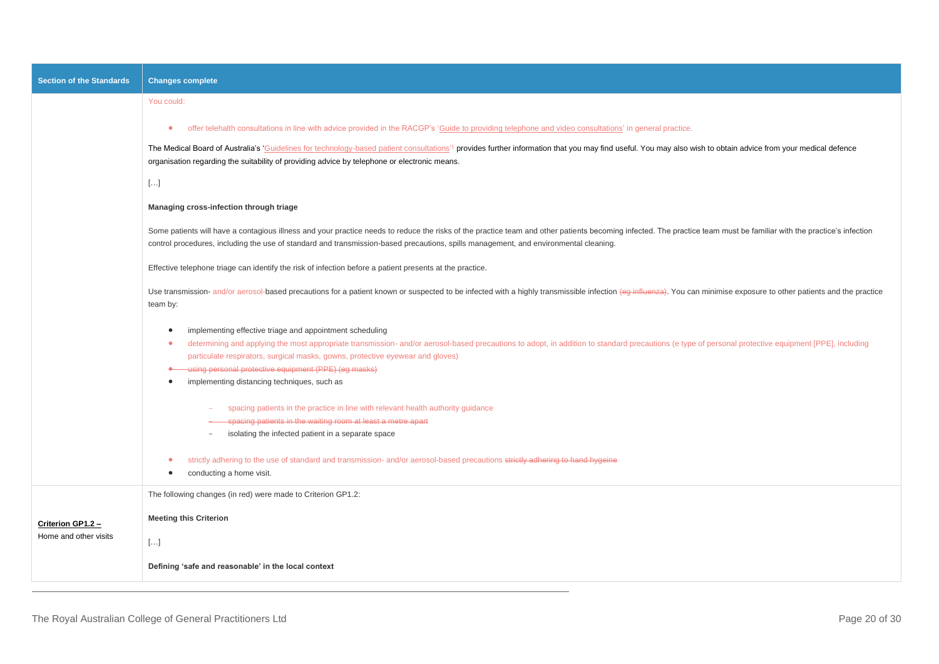| <b>Section of the Standards</b>            | <b>Changes complete</b>                                                                                                                                                                                                                                                                                                                                                                                                                                                                            |
|--------------------------------------------|----------------------------------------------------------------------------------------------------------------------------------------------------------------------------------------------------------------------------------------------------------------------------------------------------------------------------------------------------------------------------------------------------------------------------------------------------------------------------------------------------|
|                                            | You could:                                                                                                                                                                                                                                                                                                                                                                                                                                                                                         |
|                                            | offer telehalth consultations in line with advice provided in the RACGP's 'Guide to providing telephone and video consultations' in general practice.<br>$\bullet$                                                                                                                                                                                                                                                                                                                                 |
|                                            | The Medical Board of Australia's 'Guidelines for technology-based patient consultations' <sup>1</sup> provides further information that you may find useful. You may also wish to obtain advice from your medical defence<br>organisation regarding the suitability of providing advice by telephone or electronic means.                                                                                                                                                                          |
|                                            | $[]$                                                                                                                                                                                                                                                                                                                                                                                                                                                                                               |
|                                            | Managing cross-infection through triage                                                                                                                                                                                                                                                                                                                                                                                                                                                            |
|                                            | Some patients will have a contagious illness and your practice needs to reduce the risks of the practice team and other patients becoming infected. The practice team must be familiar with the practice's infection<br>control procedures, including the use of standard and transmission-based precautions, spills management, and environmental cleaning.                                                                                                                                       |
|                                            | Effective telephone triage can identify the risk of infection before a patient presents at the practice.                                                                                                                                                                                                                                                                                                                                                                                           |
|                                            | Use transmission- and/or aerosol-based precautions for a patient known or suspected to be infected with a highly transmissible infection (eg influenza). You can minimise exposure to other patients and the practice<br>team by:                                                                                                                                                                                                                                                                  |
|                                            | implementing effective triage and appointment scheduling<br>$\bullet$<br>determining and applying the most appropriate transmission- and/or aerosol-based precautions to adopt, in addition to standard precautions (e type of personal protective equipment [PPE], including<br>$\bullet$<br>particulate respirators, surgical masks, gowns, protective eyewear and gloves)<br>• using personal protective equipment (PPE) (eg masks)<br>implementing distancing techniques, such as<br>$\bullet$ |
|                                            | spacing patients in the practice in line with relevant health authority guidance<br>spacing patients in the waiting room at least a metre apart<br>isolating the infected patient in a separate space<br>$\equiv$                                                                                                                                                                                                                                                                                  |
|                                            | strictly adhering to the use of standard and transmission- and/or aerosol-based precautions strictly adhering to hand hygeine<br>conducting a home visit.<br>$\bullet$                                                                                                                                                                                                                                                                                                                             |
|                                            | The following changes (in red) were made to Criterion GP1.2:                                                                                                                                                                                                                                                                                                                                                                                                                                       |
| Criterion GP1.2 -<br>Home and other visits | <b>Meeting this Criterion</b>                                                                                                                                                                                                                                                                                                                                                                                                                                                                      |
|                                            | $[\ldots]$                                                                                                                                                                                                                                                                                                                                                                                                                                                                                         |
|                                            | Defining 'safe and reasonable' in the local context                                                                                                                                                                                                                                                                                                                                                                                                                                                |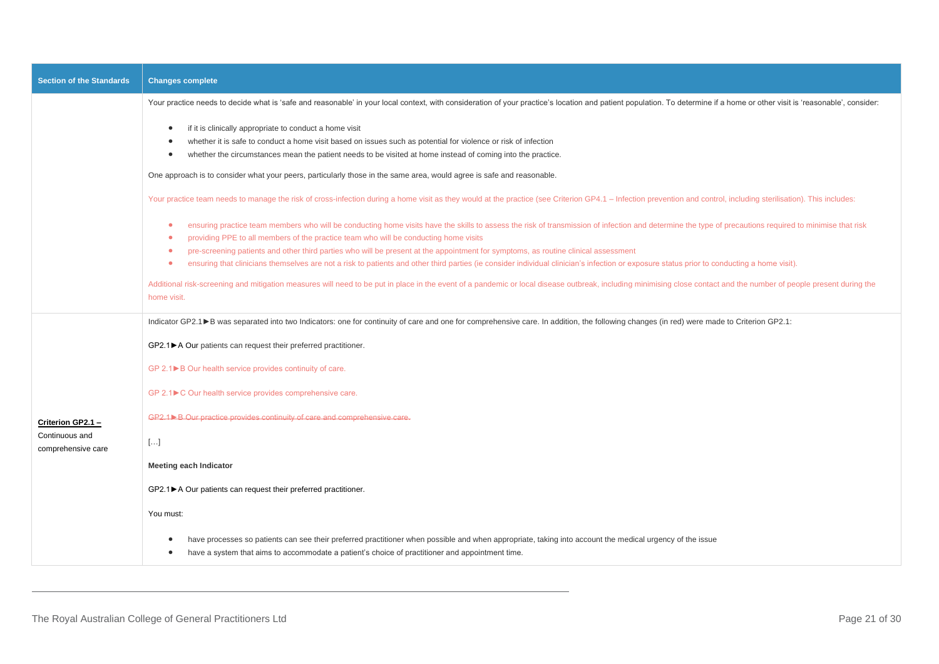| <b>Section of the Standards</b>      | <b>Changes complete</b>                                                                                                                                                                                                                                                                                                                                    |
|--------------------------------------|------------------------------------------------------------------------------------------------------------------------------------------------------------------------------------------------------------------------------------------------------------------------------------------------------------------------------------------------------------|
|                                      | Your practice needs to decide what is 'safe and reasonable' in your local context, with consideration of your practice's location and patient population. To determine if a home or other visit is 'reasonable', consider:                                                                                                                                 |
|                                      | if it is clinically appropriate to conduct a home visit<br>$\bullet$<br>whether it is safe to conduct a home visit based on issues such as potential for violence or risk of infection<br>whether the circumstances mean the patient needs to be visited at home instead of coming into the practice.<br>$\bullet$                                         |
|                                      | One approach is to consider what your peers, particularly those in the same area, would agree is safe and reasonable.                                                                                                                                                                                                                                      |
|                                      | Your practice team needs to manage the risk of cross-infection during a home visit as they would at the practice (see Criterion GP4.1 - Infection prevention and control, including sterilisation). This includes:                                                                                                                                         |
|                                      | ensuring practice team members who will be conducting home visits have the skills to assess the risk of transmission of infection and determine the type of precautions required to minimise that risk<br>$\bullet$<br>providing PPE to all members of the practice team who will be conducting home visits<br>$\bullet$                                   |
|                                      | pre-screening patients and other third parties who will be present at the appointment for symptoms, as routine clinical assessment<br>$\bullet$<br>ensuring that clinicians themselves are not a risk to patients and other third parties (ie consider individual clinician's infection or exposure status prior to conducting a home visit).<br>$\bullet$ |
|                                      | Additional risk-screening and mitigation measures will need to be put in place in the event of a pandemic or local disease outbreak, including minimising close contact and the number of people present during the<br>home visit.                                                                                                                         |
|                                      | Indicator GP2.1▶ B was separated into two Indicators: one for continuity of care and one for comprehensive care. In addition, the following changes (in red) were made to Criterion GP2.1:                                                                                                                                                                 |
|                                      | GP2.1▶ A Our patients can request their preferred practitioner.                                                                                                                                                                                                                                                                                            |
|                                      | GP 2.1▶ B Our health service provides continuity of care.                                                                                                                                                                                                                                                                                                  |
|                                      | GP 2.1▶ C Our health service provides comprehensive care.                                                                                                                                                                                                                                                                                                  |
| Criterion GP2.1 -                    | GP2.1>B Our practice provides continuity of care and comprehensive care.                                                                                                                                                                                                                                                                                   |
| Continuous and<br>comprehensive care | $[]$                                                                                                                                                                                                                                                                                                                                                       |
|                                      | <b>Meeting each Indicator</b>                                                                                                                                                                                                                                                                                                                              |
|                                      | GP2.1▶ A Our patients can request their preferred practitioner.                                                                                                                                                                                                                                                                                            |
|                                      | You must:                                                                                                                                                                                                                                                                                                                                                  |
|                                      | have processes so patients can see their preferred practitioner when possible and when appropriate, taking into account the medical urgency of the issue<br>have a system that aims to accommodate a patient's choice of practitioner and appointment time.                                                                                                |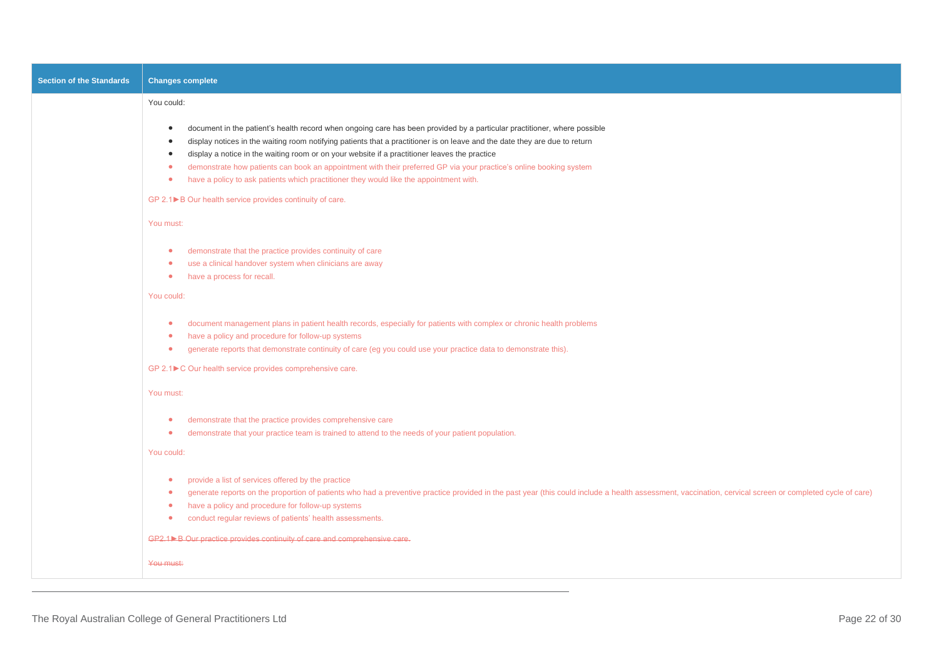| <b>Section of the Standards</b> | <b>Changes complete</b>                                                                                                                                                                                                                                                                                                                                                                                                                                                                                                                                                                                                                  |
|---------------------------------|------------------------------------------------------------------------------------------------------------------------------------------------------------------------------------------------------------------------------------------------------------------------------------------------------------------------------------------------------------------------------------------------------------------------------------------------------------------------------------------------------------------------------------------------------------------------------------------------------------------------------------------|
|                                 | You could:                                                                                                                                                                                                                                                                                                                                                                                                                                                                                                                                                                                                                               |
|                                 | document in the patient's health record when ongoing care has been provided by a particular practitioner, where possible<br>$\bullet$<br>display notices in the waiting room notifying patients that a practitioner is on leave and the date they are due to return<br>$\bullet$<br>display a notice in the waiting room or on your website if a practitioner leaves the practice<br>$\bullet$<br>demonstrate how patients can book an appointment with their preferred GP via your practice's online booking system<br>$\bullet$<br>have a policy to ask patients which practitioner they would like the appointment with.<br>$\bullet$ |
|                                 | GP 2.1▶B Our health service provides continuity of care.                                                                                                                                                                                                                                                                                                                                                                                                                                                                                                                                                                                 |
|                                 | You must:                                                                                                                                                                                                                                                                                                                                                                                                                                                                                                                                                                                                                                |
|                                 | demonstrate that the practice provides continuity of care<br>$\bullet$<br>use a clinical handover system when clinicians are away<br>$\bullet$<br>have a process for recall.<br>$\bullet$<br>You could:                                                                                                                                                                                                                                                                                                                                                                                                                                  |
|                                 | document management plans in patient health records, especially for patients with complex or chronic health problems<br>$\bullet$<br>have a policy and procedure for follow-up systems<br>$\bullet$<br>generate reports that demonstrate continuity of care (eg you could use your practice data to demonstrate this).<br>$\bullet$<br>GP 2.1▶ C Our health service provides comprehensive care.                                                                                                                                                                                                                                         |
|                                 | You must:                                                                                                                                                                                                                                                                                                                                                                                                                                                                                                                                                                                                                                |
|                                 | demonstrate that the practice provides comprehensive care<br>$\bullet$<br>demonstrate that your practice team is trained to attend to the needs of your patient population.<br>$\bullet$<br>You could:                                                                                                                                                                                                                                                                                                                                                                                                                                   |
|                                 | provide a list of services offered by the practice<br>$\bullet$<br>generate reports on the proportion of patients who had a preventive practice provided in the past year (this could include a health assessment, vaccination, cervical screen or completed cycle of care)<br>$\bullet$<br>have a policy and procedure for follow-up systems<br>$\bullet$<br>conduct regular reviews of patients' health assessments.<br>$\bullet$                                                                                                                                                                                                      |
|                                 | GP2.1>B Our practice provides continuity of care and comprehensive care.                                                                                                                                                                                                                                                                                                                                                                                                                                                                                                                                                                 |
|                                 | You must:                                                                                                                                                                                                                                                                                                                                                                                                                                                                                                                                                                                                                                |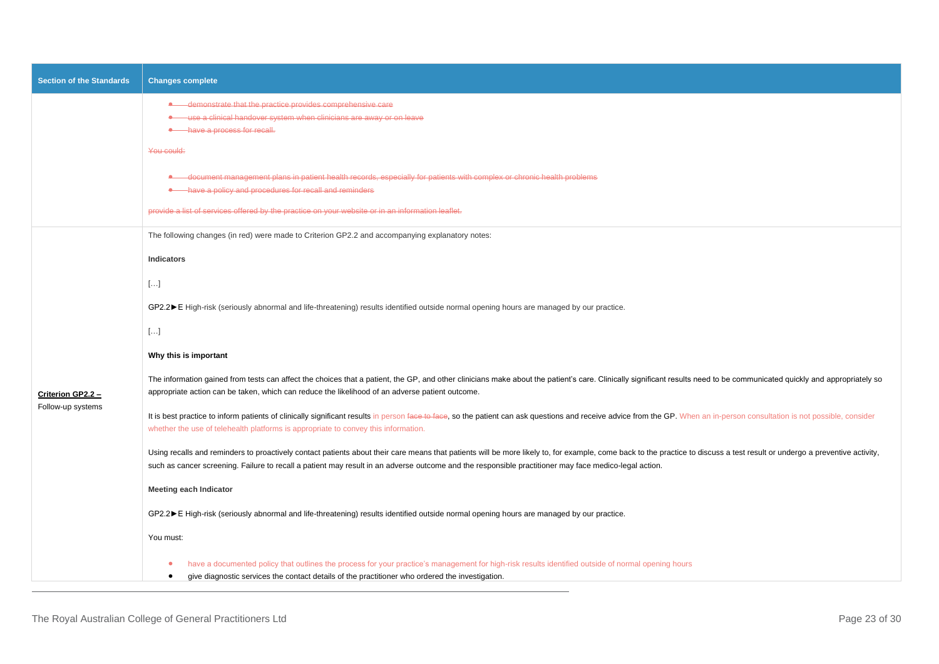| <b>Section of the Standards</b> | <b>Changes complete</b>                                                                                                                                                                                                                                                                                                                                                             |
|---------------------------------|-------------------------------------------------------------------------------------------------------------------------------------------------------------------------------------------------------------------------------------------------------------------------------------------------------------------------------------------------------------------------------------|
|                                 | • demonstrate that the practice provides comprehensive care<br>• use a clinical handover system when clinicians are away or on leave<br>A have a process for recall.                                                                                                                                                                                                                |
|                                 | You could:<br>• document management plans in patient health records, especially for patients with complex or chronic health problems<br><b>.</b> have a policy and procedures for recall and reminders<br>provide a list of services offered by the practice on your website or in an information leaflet.                                                                          |
|                                 | The following changes (in red) were made to Criterion GP2.2 and accompanying explanatory notes:                                                                                                                                                                                                                                                                                     |
|                                 | <b>Indicators</b>                                                                                                                                                                                                                                                                                                                                                                   |
|                                 | $[]$                                                                                                                                                                                                                                                                                                                                                                                |
|                                 | GP2.2▶ E High-risk (seriously abnormal and life-threatening) results identified outside normal opening hours are managed by our practice.                                                                                                                                                                                                                                           |
|                                 | $[ \ldots ]$                                                                                                                                                                                                                                                                                                                                                                        |
|                                 | Why this is important                                                                                                                                                                                                                                                                                                                                                               |
| Criterion GP2.2 -               | The information gained from tests can affect the choices that a patient, the GP, and other clinicians make about the patient's care. Clinically significant results need to be communicated quickly and appropriately so<br>appropriate action can be taken, which can reduce the likelihood of an adverse patient outcome.                                                         |
| Follow-up systems               | It is best practice to inform patients of clinically significant results in person face to face, so the patient can ask questions and receive advice from the GP. When an in-person consultation is not possible, consider<br>whether the use of telehealth platforms is appropriate to convey this information.                                                                    |
|                                 | Using recalls and reminders to proactively contact patients about their care means that patients will be more likely to, for example, come back to the practice to discuss a test result or undergo a preventive activity,<br>such as cancer screening. Failure to recall a patient may result in an adverse outcome and the responsible practitioner may face medico-legal action. |
|                                 | <b>Meeting each Indicator</b>                                                                                                                                                                                                                                                                                                                                                       |
|                                 | GP2.2▶ E High-risk (seriously abnormal and life-threatening) results identified outside normal opening hours are managed by our practice.                                                                                                                                                                                                                                           |
|                                 | You must:                                                                                                                                                                                                                                                                                                                                                                           |
|                                 | have a documented policy that outlines the process for your practice's management for high-risk results identified outside of normal opening hours<br>give diagnostic services the contact details of the practitioner who ordered the investigation.<br>$\bullet$                                                                                                                  |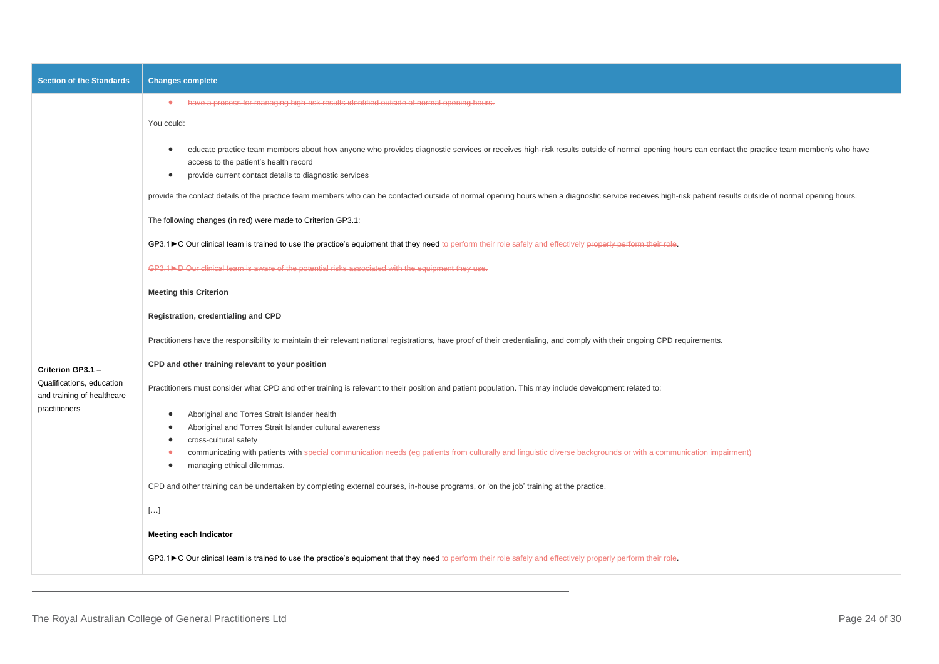| <b>Section of the Standards</b>                                          | <b>Changes complete</b>                                                                                                                                                                                                                                                                                                                  |
|--------------------------------------------------------------------------|------------------------------------------------------------------------------------------------------------------------------------------------------------------------------------------------------------------------------------------------------------------------------------------------------------------------------------------|
|                                                                          | A have a process for managing high-risk results identified outside of normal opening hours.                                                                                                                                                                                                                                              |
|                                                                          | You could:<br>educate practice team members about how anyone who provides diagnostic services or receives high-risk results outside of normal opening hours can contact the practice team member/s who have<br>$\bullet$<br>access to the patient's health record<br>provide current contact details to diagnostic services<br>$\bullet$ |
|                                                                          | provide the contact details of the practice team members who can be contacted outside of normal opening hours when a diagnostic service receives high-risk patient results outside of normal opening hours.                                                                                                                              |
|                                                                          | The following changes (in red) were made to Criterion GP3.1:                                                                                                                                                                                                                                                                             |
|                                                                          | GP3.1▶C Our clinical team is trained to use the practice's equipment that they need to perform their role safely and effectively properly perform their role.                                                                                                                                                                            |
|                                                                          | $GP3.1$ D Our clinical team is aware of the potential risks associated with the equipment they use.                                                                                                                                                                                                                                      |
|                                                                          | <b>Meeting this Criterion</b>                                                                                                                                                                                                                                                                                                            |
|                                                                          | Registration, credentialing and CPD                                                                                                                                                                                                                                                                                                      |
|                                                                          | Practitioners have the responsibility to maintain their relevant national registrations, have proof of their credentialing, and comply with their ongoing CPD requirements.                                                                                                                                                              |
| Criterion GP3.1 -                                                        | CPD and other training relevant to your position                                                                                                                                                                                                                                                                                         |
| Qualifications, education<br>and training of healthcare<br>practitioners | Practitioners must consider what CPD and other training is relevant to their position and patient population. This may include development related to:                                                                                                                                                                                   |
|                                                                          | Aboriginal and Torres Strait Islander health<br>$\bullet$                                                                                                                                                                                                                                                                                |
|                                                                          | Aboriginal and Torres Strait Islander cultural awareness<br>$\bullet$<br>cross-cultural safety<br>$\bullet$                                                                                                                                                                                                                              |
|                                                                          | communicating with patients with special communication needs (eg patients from culturally and linguistic diverse backgrounds or with a communication impairment)<br>$\bullet$                                                                                                                                                            |
|                                                                          | managing ethical dilemmas.<br>$\bullet$                                                                                                                                                                                                                                                                                                  |
|                                                                          | CPD and other training can be undertaken by completing external courses, in-house programs, or 'on the job' training at the practice.                                                                                                                                                                                                    |
|                                                                          | $[]$                                                                                                                                                                                                                                                                                                                                     |
|                                                                          | <b>Meeting each Indicator</b>                                                                                                                                                                                                                                                                                                            |
|                                                                          | GP3.1▶C Our clinical team is trained to use the practice's equipment that they need to perform their role safely and effectively properly perform their role.                                                                                                                                                                            |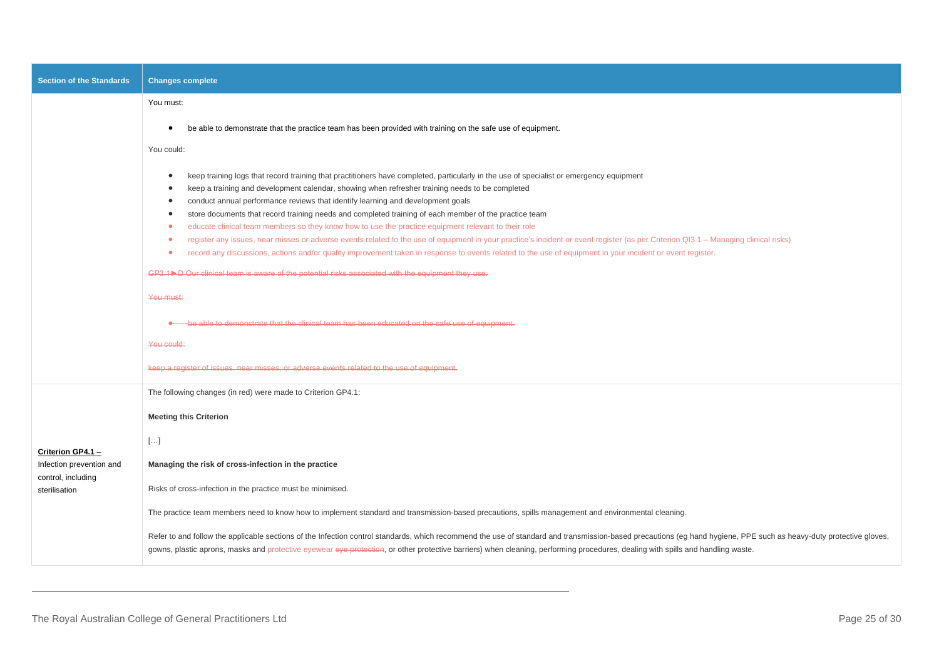| <b>Section of the Standards</b>                                                      | <b>Changes complete</b>                                                                                                                                                                                                                                                                                                                                                                                                                                                                                                                                                                                                                                                                                                                                                                                                                                                                                                                                                                                                                                                                                 |
|--------------------------------------------------------------------------------------|---------------------------------------------------------------------------------------------------------------------------------------------------------------------------------------------------------------------------------------------------------------------------------------------------------------------------------------------------------------------------------------------------------------------------------------------------------------------------------------------------------------------------------------------------------------------------------------------------------------------------------------------------------------------------------------------------------------------------------------------------------------------------------------------------------------------------------------------------------------------------------------------------------------------------------------------------------------------------------------------------------------------------------------------------------------------------------------------------------|
|                                                                                      | You must:                                                                                                                                                                                                                                                                                                                                                                                                                                                                                                                                                                                                                                                                                                                                                                                                                                                                                                                                                                                                                                                                                               |
|                                                                                      | be able to demonstrate that the practice team has been provided with training on the safe use of equipment.<br>$\bullet$                                                                                                                                                                                                                                                                                                                                                                                                                                                                                                                                                                                                                                                                                                                                                                                                                                                                                                                                                                                |
|                                                                                      | You could:                                                                                                                                                                                                                                                                                                                                                                                                                                                                                                                                                                                                                                                                                                                                                                                                                                                                                                                                                                                                                                                                                              |
|                                                                                      | keep training logs that record training that practitioners have completed, particularly in the use of specialist or emergency equipment<br>$\bullet$<br>keep a training and development calendar, showing when refresher training needs to be completed<br>$\bullet$<br>conduct annual performance reviews that identify learning and development goals<br>$\bullet$<br>store documents that record training needs and completed training of each member of the practice team<br>$\bullet$<br>educate clinical team members so they know how to use the practice equipment relevant to their role<br>۰<br>register any issues, near misses or adverse events related to the use of equipment in your practice's incident or event register (as per Criterion QI3.1 - Managing clinical risks)<br>$\bullet$<br>record any discussions, actions and/or quality improvement taken in response to events related to the use of equipment in your incident or event register.<br>$\bullet$<br>GP3.1>D Our clinical team is aware of the potential risks associated with the equipment they use.<br>You must: |
|                                                                                      | be able to demonstrate that the clinical team has been educated on the safe use of equipment.                                                                                                                                                                                                                                                                                                                                                                                                                                                                                                                                                                                                                                                                                                                                                                                                                                                                                                                                                                                                           |
|                                                                                      | You could:                                                                                                                                                                                                                                                                                                                                                                                                                                                                                                                                                                                                                                                                                                                                                                                                                                                                                                                                                                                                                                                                                              |
|                                                                                      | keep a register of issues, near misses, or adverse events related to the use of equipment.                                                                                                                                                                                                                                                                                                                                                                                                                                                                                                                                                                                                                                                                                                                                                                                                                                                                                                                                                                                                              |
|                                                                                      | The following changes (in red) were made to Criterion GP4.1:                                                                                                                                                                                                                                                                                                                                                                                                                                                                                                                                                                                                                                                                                                                                                                                                                                                                                                                                                                                                                                            |
|                                                                                      | <b>Meeting this Criterion</b>                                                                                                                                                                                                                                                                                                                                                                                                                                                                                                                                                                                                                                                                                                                                                                                                                                                                                                                                                                                                                                                                           |
|                                                                                      | $[]$                                                                                                                                                                                                                                                                                                                                                                                                                                                                                                                                                                                                                                                                                                                                                                                                                                                                                                                                                                                                                                                                                                    |
| Criterion GP4.1 -<br>Infection prevention and<br>control, including<br>sterilisation | Managing the risk of cross-infection in the practice                                                                                                                                                                                                                                                                                                                                                                                                                                                                                                                                                                                                                                                                                                                                                                                                                                                                                                                                                                                                                                                    |
|                                                                                      | Risks of cross-infection in the practice must be minimised.                                                                                                                                                                                                                                                                                                                                                                                                                                                                                                                                                                                                                                                                                                                                                                                                                                                                                                                                                                                                                                             |
|                                                                                      | The practice team members need to know how to implement standard and transmission-based precautions, spills management and environmental cleaning.                                                                                                                                                                                                                                                                                                                                                                                                                                                                                                                                                                                                                                                                                                                                                                                                                                                                                                                                                      |
|                                                                                      | Refer to and follow the applicable sections of the Infection control standards, which recommend the use of standard and transmission-based precautions (eg hand hygiene, PPE such as heavy-duty protective gloves,<br>gowns, plastic aprons, masks and protective eyewear eye protection, or other protective barriers) when cleaning, performing procedures, dealing with spills and handling waste.                                                                                                                                                                                                                                                                                                                                                                                                                                                                                                                                                                                                                                                                                                   |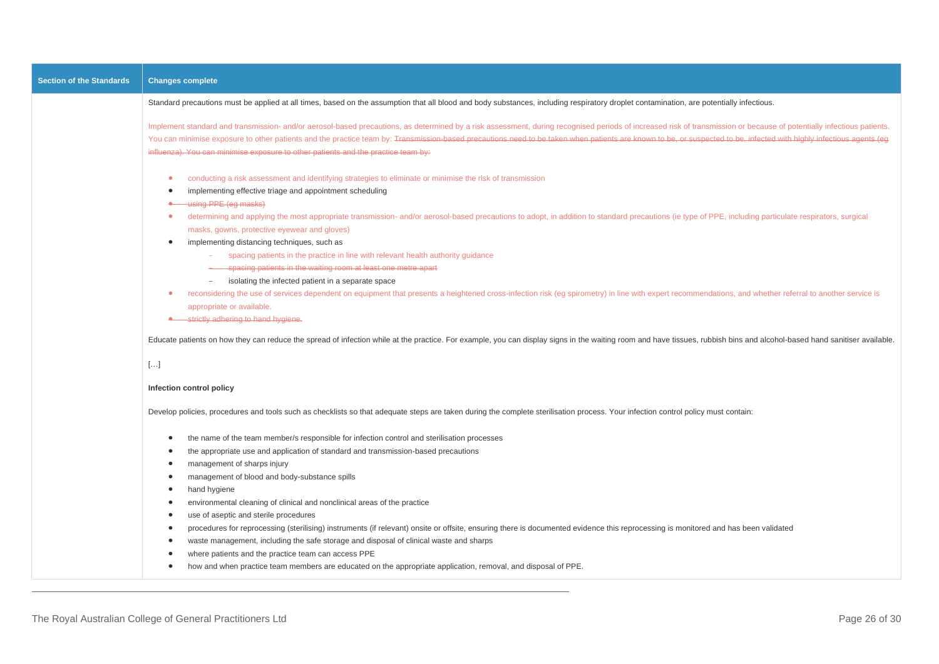| <b>Section of the Standards</b> | <b>Changes complete</b>                                                                                                                                                                                                                                                                                                                                                                                                                                                                                                                                                                                                                                                                                                                                                                                                                                                                                                                                                                                                                                                                                                                                                                                                                                              |
|---------------------------------|----------------------------------------------------------------------------------------------------------------------------------------------------------------------------------------------------------------------------------------------------------------------------------------------------------------------------------------------------------------------------------------------------------------------------------------------------------------------------------------------------------------------------------------------------------------------------------------------------------------------------------------------------------------------------------------------------------------------------------------------------------------------------------------------------------------------------------------------------------------------------------------------------------------------------------------------------------------------------------------------------------------------------------------------------------------------------------------------------------------------------------------------------------------------------------------------------------------------------------------------------------------------|
|                                 | Standard precautions must be applied at all times, based on the assumption that all blood and body substances, including respiratory droplet contamination, are potentially infectious.                                                                                                                                                                                                                                                                                                                                                                                                                                                                                                                                                                                                                                                                                                                                                                                                                                                                                                                                                                                                                                                                              |
|                                 | Implement standard and transmission- and/or aerosol-based precautions, as determined by a risk assessment, during recognised periods of increased risk of transmission or because of potentially infectious patients.<br>You can minimise exposure to other patients and the practice team by: Transmission-based precautions need to be taken when patients are known to be, or suspected to be, infected with highly infectious agents (eg<br>influenza). You can minimise exposure to other patients and the practice team by:                                                                                                                                                                                                                                                                                                                                                                                                                                                                                                                                                                                                                                                                                                                                    |
|                                 | conducting a risk assessment and identifying strategies to eliminate or minimise the risk of transmission<br>$\bullet$<br>implementing effective triage and appointment scheduling<br><b>*</b> using PPE (eg masks)<br>determining and applying the most appropriate transmission- and/or aerosol-based precautions to adopt, in addition to standard precautions (ie type of PPE, including particulate respirators, surgical<br>$\bullet$<br>masks, gowns, protective eyewear and gloves)<br>implementing distancing techniques, such as<br>spacing patients in the practice in line with relevant health authority guidance<br>- spacing patients in the waiting room at least one metre apart<br>isolating the infected patient in a separate space<br>reconsidering the use of services dependent on equipment that presents a heightened cross-infection risk (eg spirometry) in line with expert recommendations, and whether referral to another service is<br>appropriate or available.<br>• strictly adhering to hand hygiene.<br>Educate patients on how they can reduce the spread of infection while at the practice. For example, you can display signs in the waiting room and have tissues, rubbish bins and alcohol-based hand sanitiser available. |
|                                 | $[]$                                                                                                                                                                                                                                                                                                                                                                                                                                                                                                                                                                                                                                                                                                                                                                                                                                                                                                                                                                                                                                                                                                                                                                                                                                                                 |
|                                 | Infection control policy                                                                                                                                                                                                                                                                                                                                                                                                                                                                                                                                                                                                                                                                                                                                                                                                                                                                                                                                                                                                                                                                                                                                                                                                                                             |
|                                 | Develop policies, procedures and tools such as checklists so that adequate steps are taken during the complete sterilisation process. Your infection control policy must contain:                                                                                                                                                                                                                                                                                                                                                                                                                                                                                                                                                                                                                                                                                                                                                                                                                                                                                                                                                                                                                                                                                    |
|                                 | the name of the team member/s responsible for infection control and sterilisation processes<br>the appropriate use and application of standard and transmission-based precautions<br>management of sharps injury<br>$\bullet$<br>management of blood and body-substance spills<br>hand hygiene<br>$\bullet$<br>environmental cleaning of clinical and nonclinical areas of the practice<br>$\bullet$<br>use of aseptic and sterile procedures<br>procedures for reprocessing (sterilising) instruments (if relevant) onsite or offsite, ensuring there is documented evidence this reprocessing is monitored and has been validated<br>$\bullet$<br>waste management, including the safe storage and disposal of clinical waste and sharps<br>٠<br>where patients and the practice team can access PPE<br>how and when practice team members are educated on the appropriate application, removal, and disposal of PPE.                                                                                                                                                                                                                                                                                                                                              |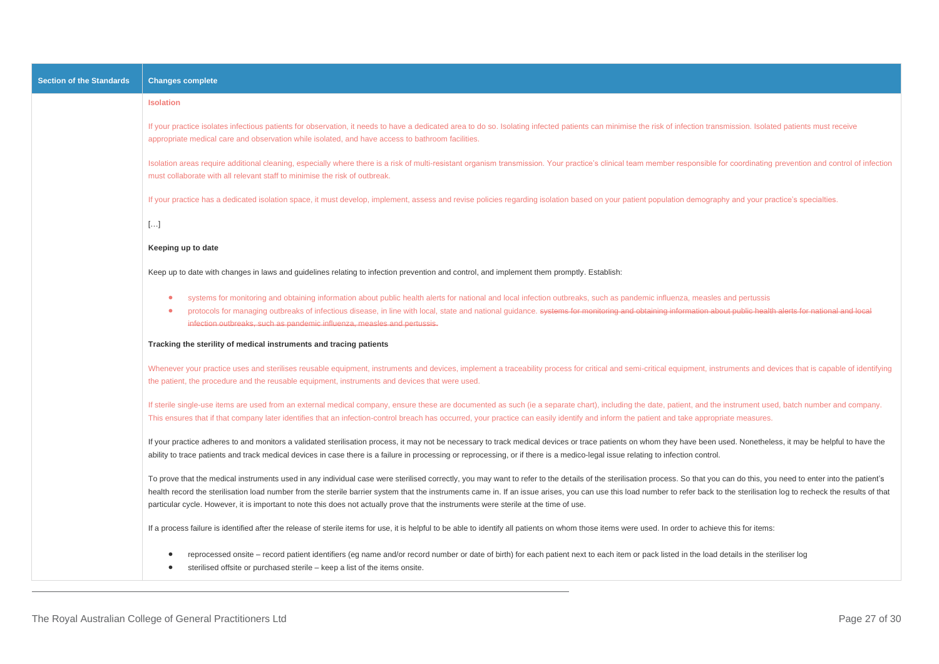| <b>Section of the Standards</b> | <b>Changes complete</b>                                                                                                                                                                                                                                                                                                                                                                                                                                                                                                                                                                                  |
|---------------------------------|----------------------------------------------------------------------------------------------------------------------------------------------------------------------------------------------------------------------------------------------------------------------------------------------------------------------------------------------------------------------------------------------------------------------------------------------------------------------------------------------------------------------------------------------------------------------------------------------------------|
|                                 | <b>Isolation</b>                                                                                                                                                                                                                                                                                                                                                                                                                                                                                                                                                                                         |
|                                 | If your practice isolates infectious patients for observation, it needs to have a dedicated area to do so. Isolating infected patients can minimise the risk of infection transmission. Isolated patients must receive<br>appropriate medical care and observation while isolated, and have access to bathroom facilities.                                                                                                                                                                                                                                                                               |
|                                 | Isolation areas require additional cleaning, especially where there is a risk of multi-resistant organism transmission. Your practice's clinical team member responsible for coordinating prevention and control of infection<br>must collaborate with all relevant staff to minimise the risk of outbreak.                                                                                                                                                                                                                                                                                              |
|                                 | If your practice has a dedicated isolation space, it must develop, implement, assess and revise policies regarding isolation based on your patient population demography and your practice's specialties.                                                                                                                                                                                                                                                                                                                                                                                                |
|                                 | $[]$                                                                                                                                                                                                                                                                                                                                                                                                                                                                                                                                                                                                     |
|                                 | Keeping up to date                                                                                                                                                                                                                                                                                                                                                                                                                                                                                                                                                                                       |
|                                 | Keep up to date with changes in laws and guidelines relating to infection prevention and control, and implement them promptly. Establish:                                                                                                                                                                                                                                                                                                                                                                                                                                                                |
|                                 | systems for monitoring and obtaining information about public health alerts for national and local infection outbreaks, such as pandemic influenza, measles and pertussis<br>protocols for managing outbreaks of infectious disease, in line with local, state and national guidance. systems for monitoring and obtaining information about public health alerts for national and local<br>infection outbreaks, such as pandemic influenza, measles and pertussis.                                                                                                                                      |
|                                 | Tracking the sterility of medical instruments and tracing patients                                                                                                                                                                                                                                                                                                                                                                                                                                                                                                                                       |
|                                 | Whenever your practice uses and sterilises reusable equipment, instruments and devices, implement a traceability process for critical and semi-critical equipment, instruments and devices that is capable of identifying<br>the patient, the procedure and the reusable equipment, instruments and devices that were used.                                                                                                                                                                                                                                                                              |
|                                 | If sterile single-use items are used from an external medical company, ensure these are documented as such (ie a separate chart), including the date, patient, and the instrument used, batch number and company.<br>This ensures that if that company later identifies that an infection-control breach has occurred, your practice can easily identify and inform the patient and take appropriate measures.                                                                                                                                                                                           |
|                                 | If your practice adheres to and monitors a validated sterilisation process, it may not be necessary to track medical devices or trace patients on whom they have been used. Nonetheless, it may be helpful to have the<br>ability to trace patients and track medical devices in case there is a failure in processing or reprocessing, or if there is a medico-legal issue relating to infection control.                                                                                                                                                                                               |
|                                 | To prove that the medical instruments used in any individual case were sterilised correctly, you may want to refer to the details of the sterilisation process. So that you can do this, you need to enter into the patient's<br>health record the sterilisation load number from the sterile barrier system that the instruments came in. If an issue arises, you can use this load number to refer back to the sterilisation log to recheck the results of th<br>particular cycle. However, it is important to note this does not actually prove that the instruments were sterile at the time of use. |
|                                 | If a process failure is identified after the release of sterile items for use, it is helpful to be able to identify all patients on whom those items were used. In order to achieve this for items:                                                                                                                                                                                                                                                                                                                                                                                                      |
|                                 | reprocessed onsite - record patient identifiers (eg name and/or record number or date of birth) for each patient next to each item or pack listed in the load details in the steriliser log<br>sterilised offsite or purchased sterile - keep a list of the items onsite.                                                                                                                                                                                                                                                                                                                                |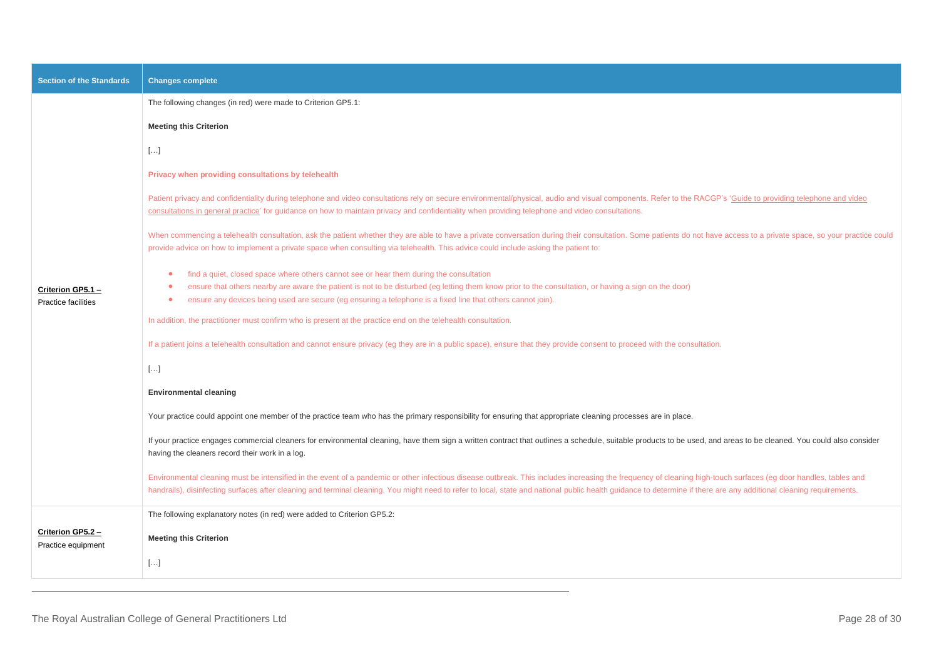| <b>Section of the Standards</b>          | <b>Changes complete</b>                                                                                                                                                                                                                                                                                                                                                                                                                |
|------------------------------------------|----------------------------------------------------------------------------------------------------------------------------------------------------------------------------------------------------------------------------------------------------------------------------------------------------------------------------------------------------------------------------------------------------------------------------------------|
|                                          | The following changes (in red) were made to Criterion GP5.1:                                                                                                                                                                                                                                                                                                                                                                           |
|                                          | <b>Meeting this Criterion</b>                                                                                                                                                                                                                                                                                                                                                                                                          |
|                                          | []                                                                                                                                                                                                                                                                                                                                                                                                                                     |
|                                          | Privacy when providing consultations by telehealth                                                                                                                                                                                                                                                                                                                                                                                     |
| Criterion GP5.1 -<br>Practice facilities | Patient privacy and confidentiality during telephone and video consultations rely on secure environmental/physical, audio and visual components. Refer to the RACGP's 'Guide to providing telephone and video<br>consultations in general practice' for guidance on how to maintain privacy and confidentiality when providing telephone and video consultations.                                                                      |
|                                          | When commencing a telehealth consultation, ask the patient whether they are able to have a private conversation during their consultation. Some patients do not have access to a private space, so your practice could<br>provide advice on how to implement a private space when consulting via telehealth. This advice could include asking the patient to:                                                                          |
|                                          | find a quiet, closed space where others cannot see or hear them during the consultation<br>۰<br>ensure that others nearby are aware the patient is not to be disturbed (eg letting them know prior to the consultation, or having a sign on the door)<br>۰<br>ensure any devices being used are secure (eg ensuring a telephone is a fixed line that others cannot join).<br>$\bullet$                                                 |
|                                          | In addition, the practitioner must confirm who is present at the practice end on the telehealth consultation.                                                                                                                                                                                                                                                                                                                          |
|                                          | If a patient joins a telehealth consultation and cannot ensure privacy (eg they are in a public space), ensure that they provide consent to proceed with the consultation.                                                                                                                                                                                                                                                             |
|                                          | $[]$                                                                                                                                                                                                                                                                                                                                                                                                                                   |
|                                          | <b>Environmental cleaning</b>                                                                                                                                                                                                                                                                                                                                                                                                          |
|                                          | Your practice could appoint one member of the practice team who has the primary responsibility for ensuring that appropriate cleaning processes are in place.                                                                                                                                                                                                                                                                          |
|                                          | If your practice engages commercial cleaners for environmental cleaning, have them sign a written contract that outlines a schedule, suitable products to be used, and areas to be cleaned. You could also consider<br>having the cleaners record their work in a log.                                                                                                                                                                 |
|                                          | Environmental cleaning must be intensified in the event of a pandemic or other infectious disease outbreak. This includes increasing the frequency of cleaning high-touch surfaces (eg door handles, tables and<br>handrails), disinfecting surfaces after cleaning and terminal cleaning. You might need to refer to local, state and national public health guidance to determine if there are any additional cleaning requirements. |
|                                          | The following explanatory notes (in red) were added to Criterion GP5.2:                                                                                                                                                                                                                                                                                                                                                                |
| Criterion GP5.2 -<br>Practice equipment  | <b>Meeting this Criterion</b>                                                                                                                                                                                                                                                                                                                                                                                                          |
|                                          | $[]$                                                                                                                                                                                                                                                                                                                                                                                                                                   |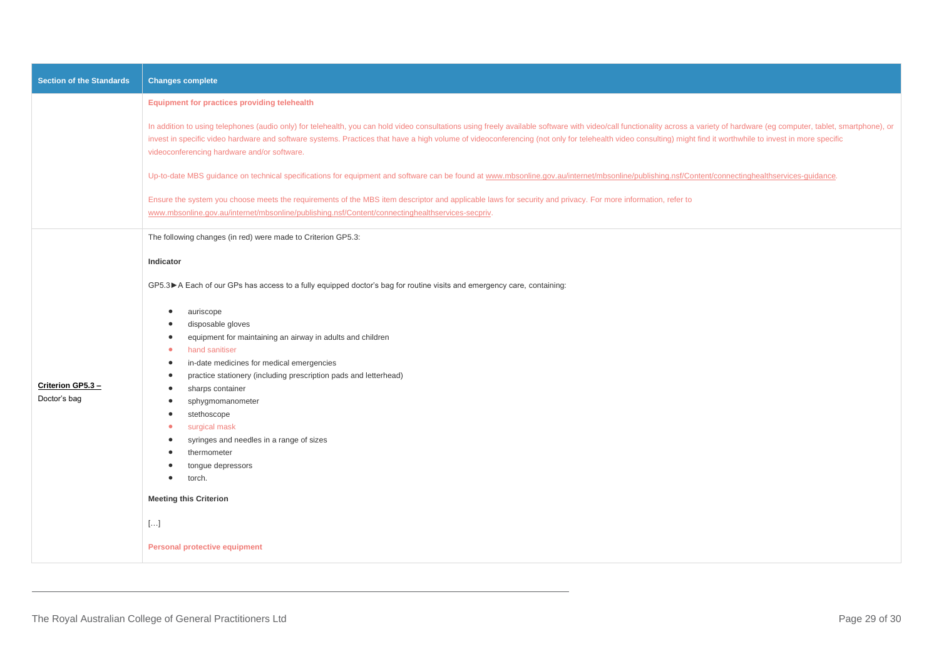| <b>Section of the Standards</b>   | <b>Changes complete</b>                                                                                                                                                                                                                                                                                                                                                                                                                                                                                                                                                          |
|-----------------------------------|----------------------------------------------------------------------------------------------------------------------------------------------------------------------------------------------------------------------------------------------------------------------------------------------------------------------------------------------------------------------------------------------------------------------------------------------------------------------------------------------------------------------------------------------------------------------------------|
|                                   | Equipment for practices providing telehealth                                                                                                                                                                                                                                                                                                                                                                                                                                                                                                                                     |
|                                   | In addition to using telephones (audio only) for telehealth, you can hold video consultations using freely available software with video/call functionality across a variety of hardware (eg computer, tablet, smartphone), or<br>invest in specific video hardware and software systems. Practices that have a high volume of videoconferencing (not only for telehealth video consulting) might find it worthwhile to invest in more specific<br>videoconferencing hardware and/or software.                                                                                   |
|                                   | Up-to-date MBS guidance on technical specifications for equipment and software can be found at www.mbsonline.gov.au/internet/mbsonline/publishing.nsf/Content/connectinghealthservices-quidance.                                                                                                                                                                                                                                                                                                                                                                                 |
|                                   | Ensure the system you choose meets the requirements of the MBS item descriptor and applicable laws for security and privacy. For more information, refer to<br>www.mbsonline.gov.au/internet/mbsonline/publishing.nsf/Content/connectinghealthservices-secpriv.                                                                                                                                                                                                                                                                                                                  |
|                                   | The following changes (in red) were made to Criterion GP5.3:                                                                                                                                                                                                                                                                                                                                                                                                                                                                                                                     |
|                                   | Indicator                                                                                                                                                                                                                                                                                                                                                                                                                                                                                                                                                                        |
|                                   | GP5.3▶ A Each of our GPs has access to a fully equipped doctor's bag for routine visits and emergency care, containing:                                                                                                                                                                                                                                                                                                                                                                                                                                                          |
| Criterion GP5.3 -<br>Doctor's bag | auriscope<br>$\bullet$<br>disposable gloves<br>equipment for maintaining an airway in adults and children<br>$\bullet$<br>hand sanitiser<br>$\bullet$<br>in-date medicines for medical emergencies<br>$\bullet$<br>practice stationery (including prescription pads and letterhead)<br>٠<br>sharps container<br>$\bullet$<br>sphygmomanometer<br>stethoscope<br>٠<br>surgical mask<br>syringes and needles in a range of sizes<br>thermometer<br>tongue depressors<br>torch.<br>$\bullet$<br><b>Meeting this Criterion</b><br>$[\ldots]$<br><b>Personal protective equipment</b> |